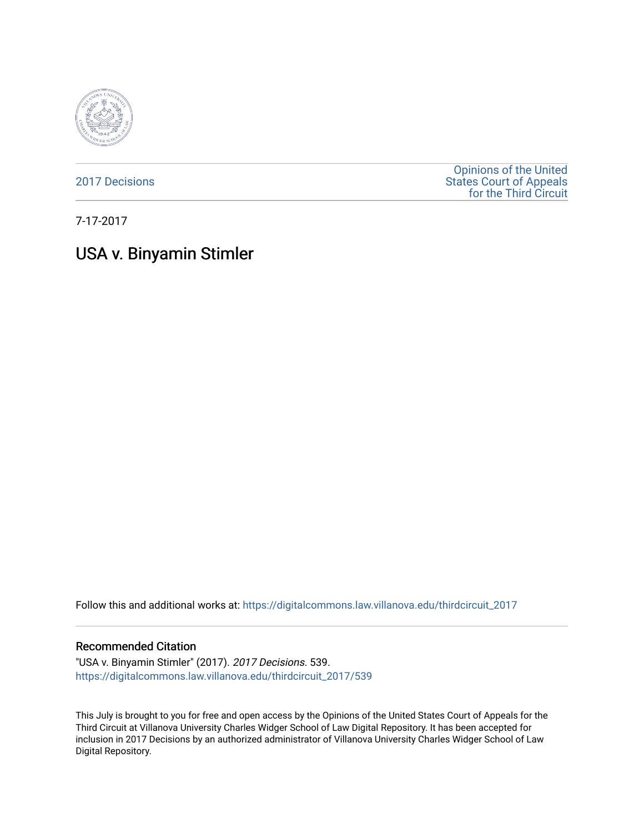

[2017 Decisions](https://digitalcommons.law.villanova.edu/thirdcircuit_2017)

[Opinions of the United](https://digitalcommons.law.villanova.edu/thirdcircuit)  [States Court of Appeals](https://digitalcommons.law.villanova.edu/thirdcircuit)  [for the Third Circuit](https://digitalcommons.law.villanova.edu/thirdcircuit) 

7-17-2017

# USA v. Binyamin Stimler

Follow this and additional works at: [https://digitalcommons.law.villanova.edu/thirdcircuit\\_2017](https://digitalcommons.law.villanova.edu/thirdcircuit_2017?utm_source=digitalcommons.law.villanova.edu%2Fthirdcircuit_2017%2F539&utm_medium=PDF&utm_campaign=PDFCoverPages) 

#### Recommended Citation

"USA v. Binyamin Stimler" (2017). 2017 Decisions. 539. [https://digitalcommons.law.villanova.edu/thirdcircuit\\_2017/539](https://digitalcommons.law.villanova.edu/thirdcircuit_2017/539?utm_source=digitalcommons.law.villanova.edu%2Fthirdcircuit_2017%2F539&utm_medium=PDF&utm_campaign=PDFCoverPages)

This July is brought to you for free and open access by the Opinions of the United States Court of Appeals for the Third Circuit at Villanova University Charles Widger School of Law Digital Repository. It has been accepted for inclusion in 2017 Decisions by an authorized administrator of Villanova University Charles Widger School of Law Digital Repository.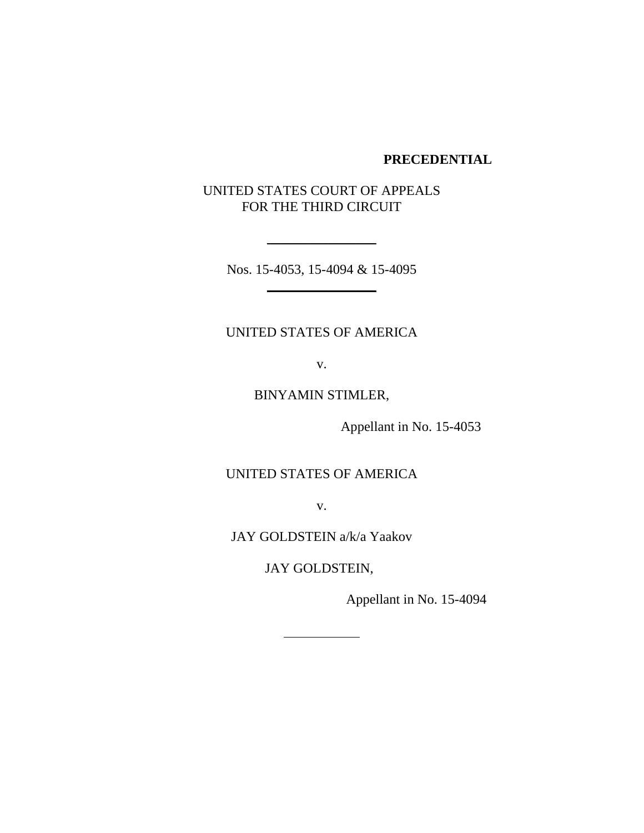## **PRECEDENTIAL**

# UNITED STATES COURT OF APPEALS FOR THE THIRD CIRCUIT

Nos. 15-4053, 15-4094 & 15-4095  $\frac{1}{2}$ 

 $\frac{1}{2}$ 

# UNITED STATES OF AMERICA

v.

BINYAMIN STIMLER,

Appellant in No. 15-4053

UNITED STATES OF AMERICA

v.

JAY GOLDSTEIN a/k/a Yaakov

JAY GOLDSTEIN,

Appellant in No. 15-4094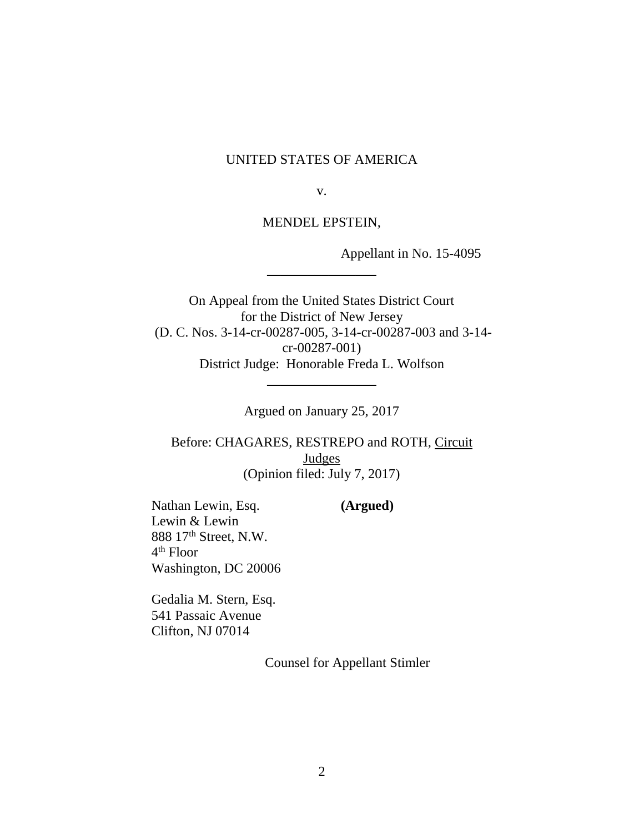## UNITED STATES OF AMERICA

v.

MENDEL EPSTEIN,

 $\frac{1}{2}$ 

Appellant in No. 15-4095

On Appeal from the United States District Court for the District of New Jersey (D. C. Nos. 3-14-cr-00287-005, 3-14-cr-00287-003 and 3-14 cr-00287-001) District Judge: Honorable Freda L. Wolfson

Argued on January 25, 2017

 $\frac{1}{2}$ 

Before: CHAGARES, RESTREPO and ROTH, Circuit Judges (Opinion filed: July 7, 2017)

Nathan Lewin, Esq. **(Argued)** Lewin & Lewin 888 17th Street, N.W. 4 th Floor Washington, DC 20006

Gedalia M. Stern, Esq. 541 Passaic Avenue Clifton, NJ 07014

Counsel for Appellant Stimler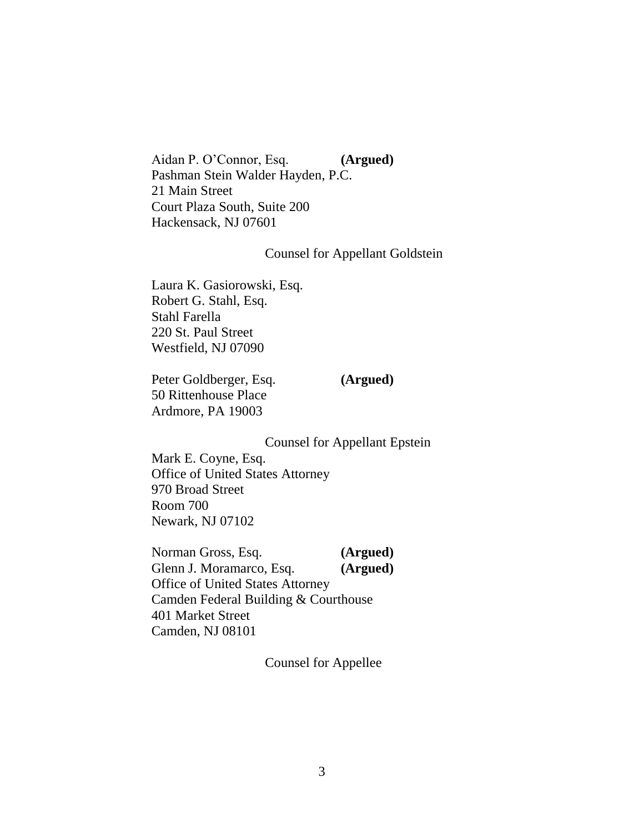Aidan P. O'Connor, Esq. **(Argued)** Pashman Stein Walder Hayden, P.C. 21 Main Street Court Plaza South, Suite 200 Hackensack, NJ 07601

## Counsel for Appellant Goldstein

Laura K. Gasiorowski, Esq. Robert G. Stahl, Esq. Stahl Farella 220 St. Paul Street Westfield, NJ 07090

Peter Goldberger, Esq. **(Argued)** 50 Rittenhouse Place Ardmore, PA 19003

Counsel for Appellant Epstein

Mark E. Coyne, Esq. Office of United States Attorney 970 Broad Street Room 700 Newark, NJ 07102

Norman Gross, Esq. **(Argued)** Glenn J. Moramarco, Esq. **(Argued)** Office of United States Attorney Camden Federal Building & Courthouse 401 Market Street Camden, NJ 08101

Counsel for Appellee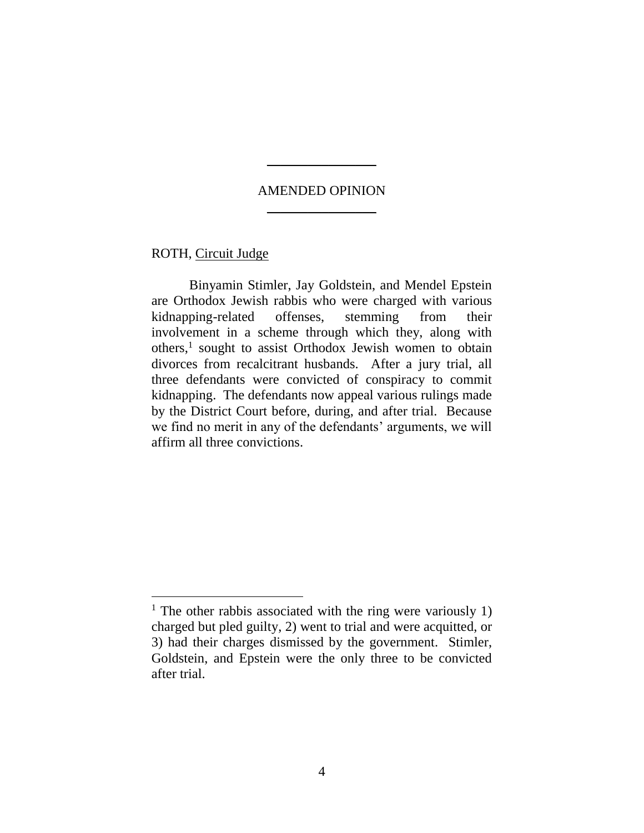# AMENDED OPINION \_\_\_\_\_\_\_\_\_\_\_\_\_\_\_\_

 $\overline{\phantom{a}}$ 

ROTH, Circuit Judge

Binyamin Stimler, Jay Goldstein, and Mendel Epstein are Orthodox Jewish rabbis who were charged with various kidnapping-related offenses, stemming from their involvement in a scheme through which they, along with others,<sup>1</sup> sought to assist Orthodox Jewish women to obtain divorces from recalcitrant husbands. After a jury trial, all three defendants were convicted of conspiracy to commit kidnapping. The defendants now appeal various rulings made by the District Court before, during, and after trial. Because we find no merit in any of the defendants' arguments, we will affirm all three convictions.

<sup>&</sup>lt;sup>1</sup> The other rabbis associated with the ring were variously 1) charged but pled guilty, 2) went to trial and were acquitted, or 3) had their charges dismissed by the government. Stimler, Goldstein, and Epstein were the only three to be convicted after trial.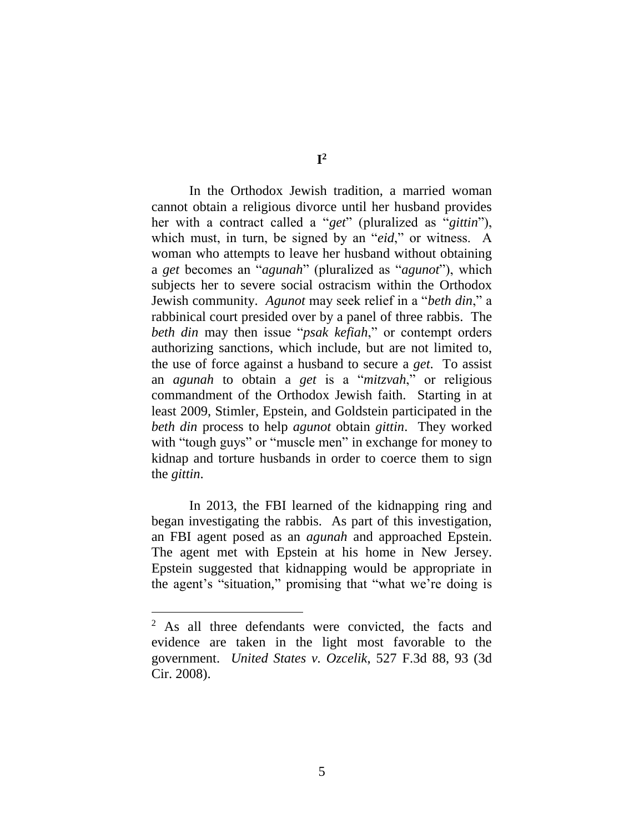In the Orthodox Jewish tradition, a married woman cannot obtain a religious divorce until her husband provides her with a contract called a "*get*" (pluralized as "*gittin*"), which must, in turn, be signed by an "*eid*," or witness. A woman who attempts to leave her husband without obtaining a *get* becomes an "*agunah*" (pluralized as "*agunot*"), which subjects her to severe social ostracism within the Orthodox Jewish community. *Agunot* may seek relief in a "*beth din*," a rabbinical court presided over by a panel of three rabbis. The *beth din* may then issue "*psak kefiah*," or contempt orders authorizing sanctions, which include, but are not limited to, the use of force against a husband to secure a *get*. To assist an *agunah* to obtain a *get* is a "*mitzvah*," or religious commandment of the Orthodox Jewish faith. Starting in at least 2009, Stimler, Epstein, and Goldstein participated in the *beth din* process to help *agunot* obtain *gittin*. They worked with "tough guys" or "muscle men" in exchange for money to kidnap and torture husbands in order to coerce them to sign the *gittin*.

In 2013, the FBI learned of the kidnapping ring and began investigating the rabbis. As part of this investigation, an FBI agent posed as an *agunah* and approached Epstein. The agent met with Epstein at his home in New Jersey. Epstein suggested that kidnapping would be appropriate in the agent's "situation," promising that "what we're doing is

<sup>&</sup>lt;sup>2</sup> As all three defendants were convicted, the facts and evidence are taken in the light most favorable to the government. *United States v. Ozcelik*, 527 F.3d 88, 93 (3d Cir. 2008).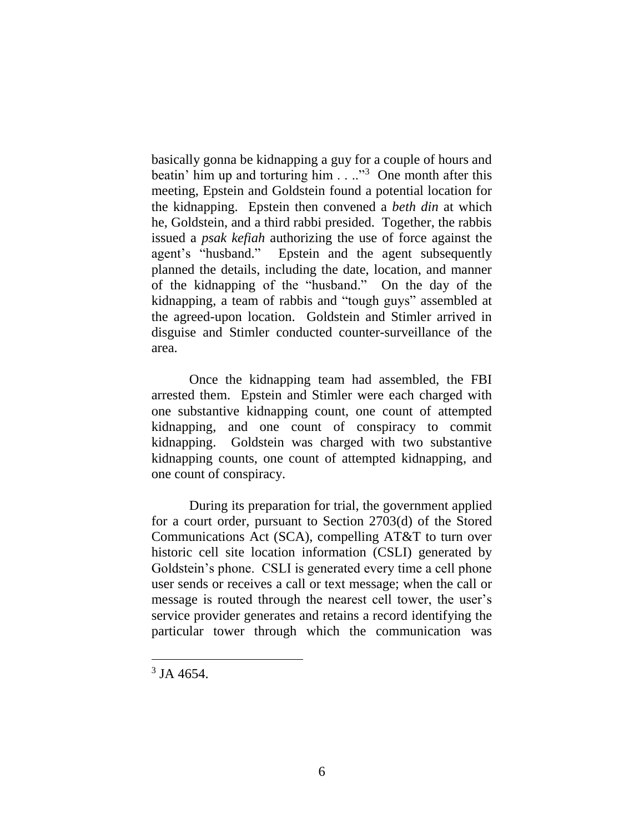basically gonna be kidnapping a guy for a couple of hours and beatin' him up and torturing him  $\ldots$ <sup>3</sup> One month after this meeting, Epstein and Goldstein found a potential location for the kidnapping. Epstein then convened a *beth din* at which he, Goldstein, and a third rabbi presided. Together, the rabbis issued a *psak kefiah* authorizing the use of force against the agent's "husband." Epstein and the agent subsequently planned the details, including the date, location, and manner of the kidnapping of the "husband." On the day of the kidnapping, a team of rabbis and "tough guys" assembled at the agreed-upon location. Goldstein and Stimler arrived in disguise and Stimler conducted counter-surveillance of the area.

Once the kidnapping team had assembled, the FBI arrested them. Epstein and Stimler were each charged with one substantive kidnapping count, one count of attempted kidnapping, and one count of conspiracy to commit kidnapping. Goldstein was charged with two substantive kidnapping counts, one count of attempted kidnapping, and one count of conspiracy.

During its preparation for trial, the government applied for a court order, pursuant to Section 2703(d) of the Stored Communications Act (SCA), compelling AT&T to turn over historic cell site location information (CSLI) generated by Goldstein's phone. CSLI is generated every time a cell phone user sends or receives a call or text message; when the call or message is routed through the nearest cell tower, the user's service provider generates and retains a record identifying the particular tower through which the communication was

 $3$  JA 4654.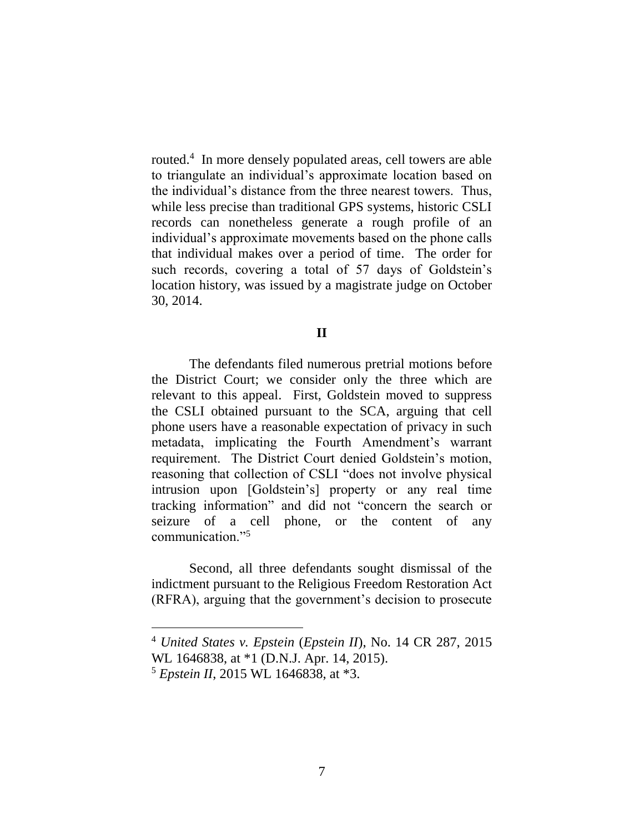routed.<sup>4</sup> In more densely populated areas, cell towers are able to triangulate an individual's approximate location based on the individual's distance from the three nearest towers. Thus, while less precise than traditional GPS systems, historic CSLI records can nonetheless generate a rough profile of an individual's approximate movements based on the phone calls that individual makes over a period of time. The order for such records, covering a total of 57 days of Goldstein's location history, was issued by a magistrate judge on October 30, 2014.

## **II**

The defendants filed numerous pretrial motions before the District Court; we consider only the three which are relevant to this appeal. First, Goldstein moved to suppress the CSLI obtained pursuant to the SCA, arguing that cell phone users have a reasonable expectation of privacy in such metadata, implicating the Fourth Amendment's warrant requirement. The District Court denied Goldstein's motion, reasoning that collection of CSLI "does not involve physical intrusion upon [Goldstein's] property or any real time tracking information" and did not "concern the search or seizure of a cell phone, or the content of any communication."<sup>5</sup>

Second, all three defendants sought dismissal of the indictment pursuant to the Religious Freedom Restoration Act (RFRA), arguing that the government's decision to prosecute

<sup>4</sup> *United States v. Epstein* (*Epstein II*), No. 14 CR 287, 2015

WL 1646838, at \*1 (D.N.J. Apr. 14, 2015).

<sup>5</sup> *Epstein II*, 2015 WL 1646838, at \*3.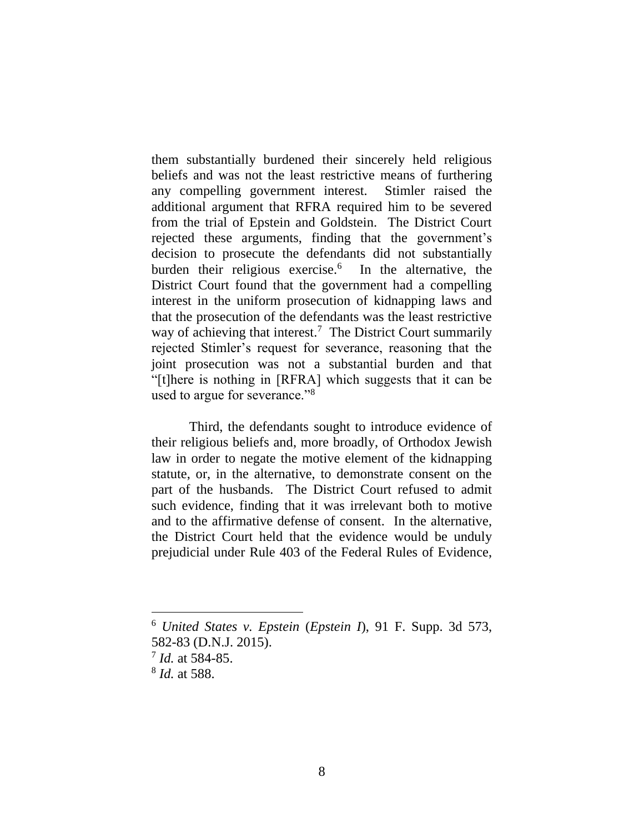them substantially burdened their sincerely held religious beliefs and was not the least restrictive means of furthering any compelling government interest. Stimler raised the additional argument that RFRA required him to be severed from the trial of Epstein and Goldstein. The District Court rejected these arguments, finding that the government's decision to prosecute the defendants did not substantially burden their religious exercise.<sup>6</sup> In the alternative, the District Court found that the government had a compelling interest in the uniform prosecution of kidnapping laws and that the prosecution of the defendants was the least restrictive way of achieving that interest.<sup>7</sup> The District Court summarily rejected Stimler's request for severance, reasoning that the joint prosecution was not a substantial burden and that "[t]here is nothing in [RFRA] which suggests that it can be used to argue for severance."<sup>8</sup>

Third, the defendants sought to introduce evidence of their religious beliefs and, more broadly, of Orthodox Jewish law in order to negate the motive element of the kidnapping statute, or, in the alternative, to demonstrate consent on the part of the husbands. The District Court refused to admit such evidence, finding that it was irrelevant both to motive and to the affirmative defense of consent. In the alternative, the District Court held that the evidence would be unduly prejudicial under Rule 403 of the Federal Rules of Evidence,

<sup>6</sup> *United States v. Epstein* (*Epstein I*), 91 F. Supp. 3d 573, 582-83 (D.N.J. 2015).

<sup>7</sup> *Id.* at 584-85.

<sup>8</sup> *Id.* at 588.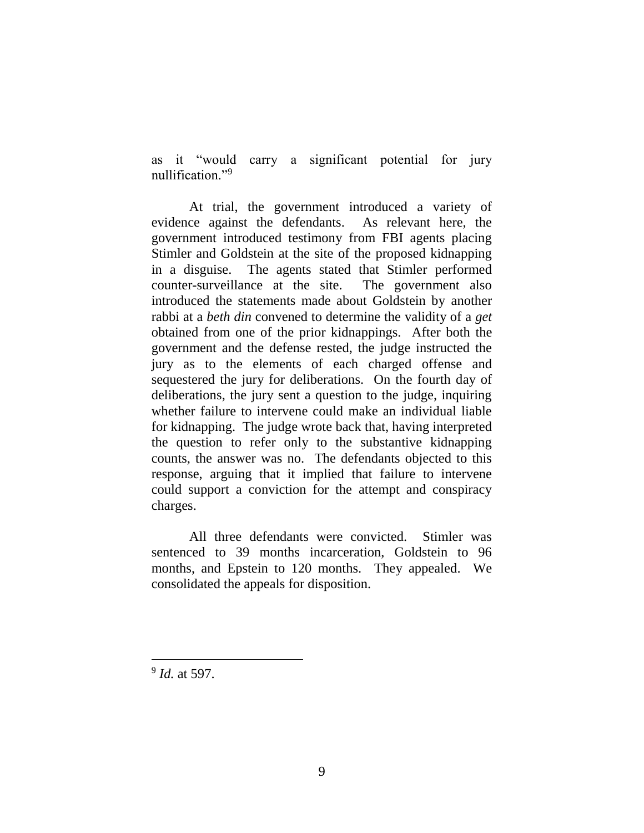as it "would carry a significant potential for jury nullification."<sup>9</sup>

At trial, the government introduced a variety of evidence against the defendants. As relevant here, the government introduced testimony from FBI agents placing Stimler and Goldstein at the site of the proposed kidnapping in a disguise. The agents stated that Stimler performed counter-surveillance at the site. The government also introduced the statements made about Goldstein by another rabbi at a *beth din* convened to determine the validity of a *get* obtained from one of the prior kidnappings. After both the government and the defense rested, the judge instructed the jury as to the elements of each charged offense and sequestered the jury for deliberations. On the fourth day of deliberations, the jury sent a question to the judge, inquiring whether failure to intervene could make an individual liable for kidnapping. The judge wrote back that, having interpreted the question to refer only to the substantive kidnapping counts, the answer was no. The defendants objected to this response, arguing that it implied that failure to intervene could support a conviction for the attempt and conspiracy charges.

All three defendants were convicted. Stimler was sentenced to 39 months incarceration, Goldstein to 96 months, and Epstein to 120 months. They appealed. We consolidated the appeals for disposition.

9 *Id.* at 597.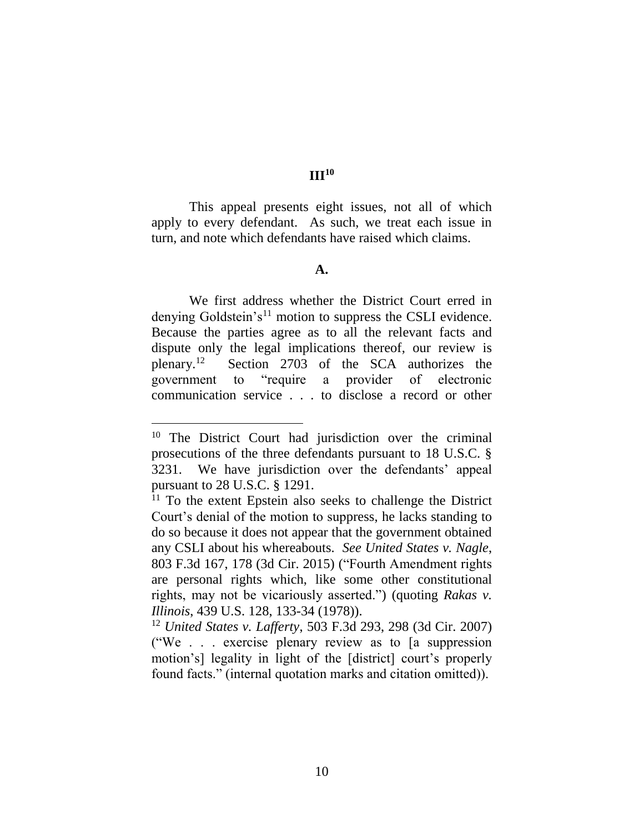**III<sup>10</sup>**

This appeal presents eight issues, not all of which apply to every defendant. As such, we treat each issue in turn, and note which defendants have raised which claims.

#### **A.**

We first address whether the District Court erred in denying Goldstein's<sup>11</sup> motion to suppress the CSLI evidence. Because the parties agree as to all the relevant facts and dispute only the legal implications thereof, our review is plenary.<sup>12</sup> Section 2703 of the SCA authorizes the government to "require a provider of electronic communication service . . . to disclose a record or other

<sup>&</sup>lt;sup>10</sup> The District Court had jurisdiction over the criminal prosecutions of the three defendants pursuant to 18 U.S.C. § 3231. We have jurisdiction over the defendants' appeal pursuant to 28 U.S.C. § 1291.

 $11$  To the extent Epstein also seeks to challenge the District Court's denial of the motion to suppress, he lacks standing to do so because it does not appear that the government obtained any CSLI about his whereabouts. *See United States v. Nagle*, 803 F.3d 167, 178 (3d Cir. 2015) ("Fourth Amendment rights are personal rights which, like some other constitutional rights, may not be vicariously asserted.") (quoting *Rakas v. Illinois*, 439 U.S. 128, 133-34 (1978)).

<sup>12</sup> *United States v. Lafferty*, 503 F.3d 293, 298 (3d Cir. 2007) ("We . . . exercise plenary review as to [a suppression motion's] legality in light of the [district] court's properly found facts." (internal quotation marks and citation omitted)).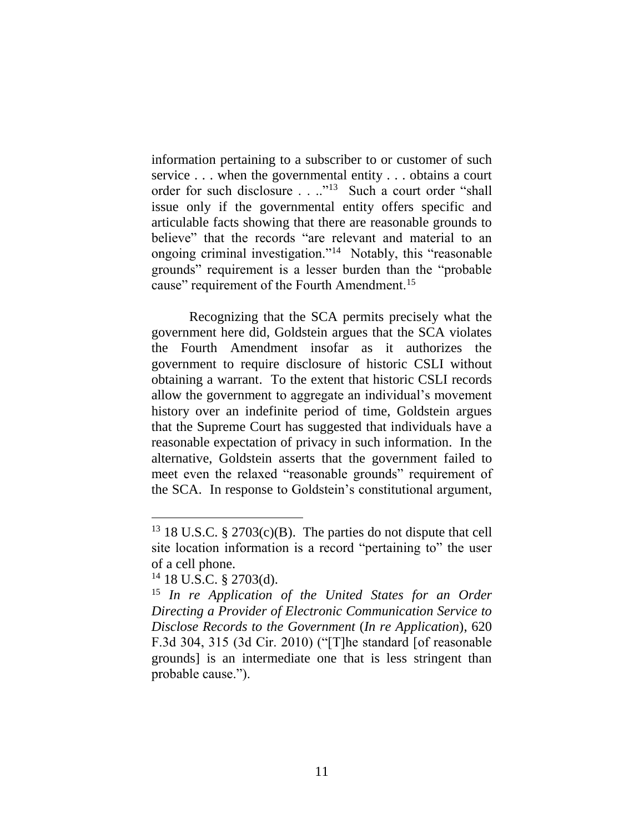information pertaining to a subscriber to or customer of such service . . . when the governmental entity . . . obtains a court order for such disclosure . . .."<sup>13</sup> Such a court order "shall issue only if the governmental entity offers specific and articulable facts showing that there are reasonable grounds to believe" that the records "are relevant and material to an ongoing criminal investigation."<sup>14</sup> Notably, this "reasonable grounds" requirement is a lesser burden than the "probable cause" requirement of the Fourth Amendment.<sup>15</sup>

Recognizing that the SCA permits precisely what the government here did, Goldstein argues that the SCA violates the Fourth Amendment insofar as it authorizes the government to require disclosure of historic CSLI without obtaining a warrant. To the extent that historic CSLI records allow the government to aggregate an individual's movement history over an indefinite period of time, Goldstein argues that the Supreme Court has suggested that individuals have a reasonable expectation of privacy in such information. In the alternative, Goldstein asserts that the government failed to meet even the relaxed "reasonable grounds" requirement of the SCA. In response to Goldstein's constitutional argument,

<sup>&</sup>lt;sup>13</sup> 18 U.S.C. § 2703 $(c)(B)$ . The parties do not dispute that cell site location information is a record "pertaining to" the user of a cell phone.

 $14$  18 U.S.C. § 2703(d).

<sup>15</sup> *In re Application of the United States for an Order Directing a Provider of Electronic Communication Service to Disclose Records to the Government* (*In re Application*), 620 F.3d 304, 315 (3d Cir. 2010) ("[T]he standard [of reasonable grounds] is an intermediate one that is less stringent than probable cause.").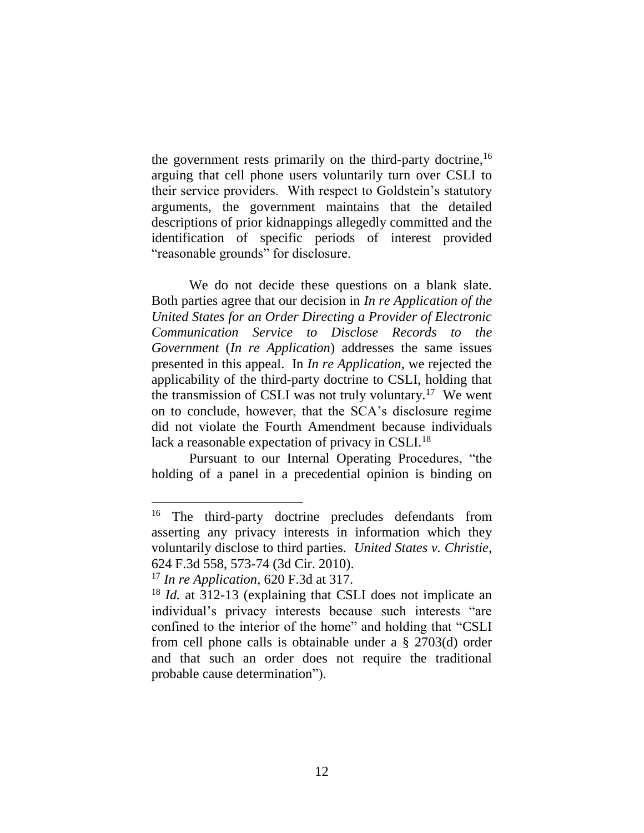the government rests primarily on the third-party doctrine,  $16$ arguing that cell phone users voluntarily turn over CSLI to their service providers. With respect to Goldstein's statutory arguments, the government maintains that the detailed descriptions of prior kidnappings allegedly committed and the identification of specific periods of interest provided "reasonable grounds" for disclosure.

We do not decide these questions on a blank slate. Both parties agree that our decision in *In re Application of the United States for an Order Directing a Provider of Electronic Communication Service to Disclose Records to the Government* (*In re Application*) addresses the same issues presented in this appeal. In *In re Application*, we rejected the applicability of the third-party doctrine to CSLI, holding that the transmission of CSLI was not truly voluntary.<sup>17</sup> We went on to conclude, however, that the SCA's disclosure regime did not violate the Fourth Amendment because individuals lack a reasonable expectation of privacy in CSLI.<sup>18</sup>

Pursuant to our Internal Operating Procedures, "the holding of a panel in a precedential opinion is binding on

<sup>&</sup>lt;sup>16</sup> The third-party doctrine precludes defendants from asserting any privacy interests in information which they voluntarily disclose to third parties. *United States v. Christie*, 624 F.3d 558, 573-74 (3d Cir. 2010).

<sup>17</sup> *In re Application*, 620 F.3d at 317.

<sup>18</sup> *Id.* at 312-13 (explaining that CSLI does not implicate an individual's privacy interests because such interests "are confined to the interior of the home" and holding that "CSLI from cell phone calls is obtainable under a § 2703(d) order and that such an order does not require the traditional probable cause determination").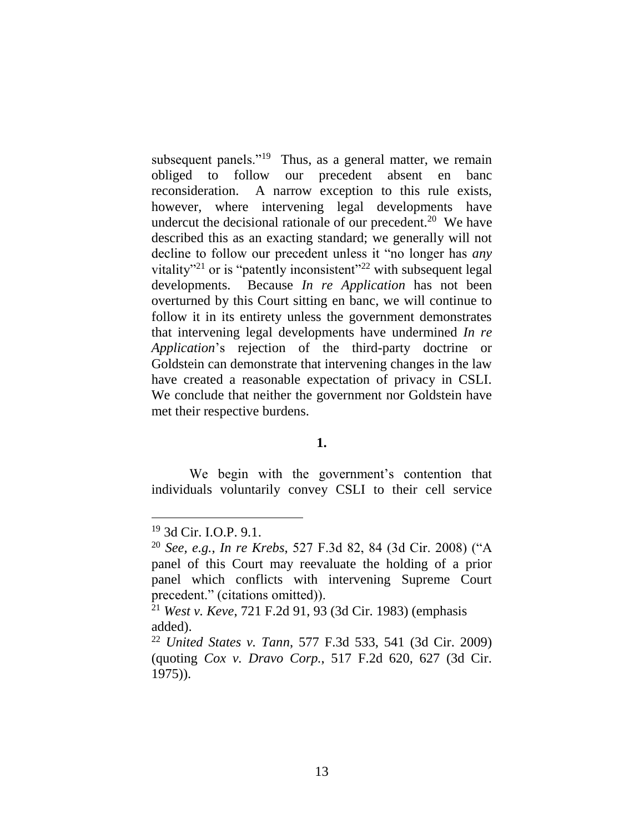subsequent panels."<sup>19</sup> Thus, as a general matter, we remain obliged to follow our precedent absent en banc reconsideration. A narrow exception to this rule exists, however, where intervening legal developments have undercut the decisional rationale of our precedent.<sup>20</sup> We have described this as an exacting standard; we generally will not decline to follow our precedent unless it "no longer has *any* vitality<sup> $21$ </sup> or is "patently inconsistent"<sup> $22$ </sup> with subsequent legal developments. Because *In re Application* has not been overturned by this Court sitting en banc, we will continue to follow it in its entirety unless the government demonstrates that intervening legal developments have undermined *In re Application*'s rejection of the third-party doctrine or Goldstein can demonstrate that intervening changes in the law have created a reasonable expectation of privacy in CSLI. We conclude that neither the government nor Goldstein have met their respective burdens.

# **1.**

We begin with the government's contention that individuals voluntarily convey CSLI to their cell service

<sup>19</sup> 3d Cir. I.O.P. 9.1.

<sup>20</sup> *See, e.g.*, *In re Krebs*, 527 F.3d 82, 84 (3d Cir. 2008) ("A panel of this Court may reevaluate the holding of a prior panel which conflicts with intervening Supreme Court precedent." (citations omitted)).

<sup>21</sup> *West v. Keve*, 721 F.2d 91, 93 (3d Cir. 1983) (emphasis added).

<sup>22</sup> *United States v. Tann*, 577 F.3d 533, 541 (3d Cir. 2009) (quoting *Cox v. Dravo Corp.*, 517 F.2d 620, 627 (3d Cir. 1975)).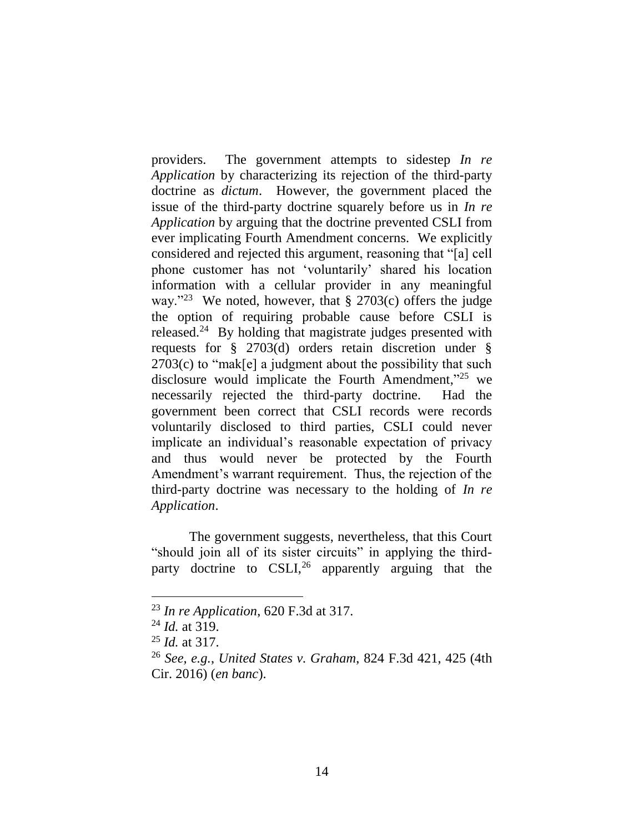providers. The government attempts to sidestep *In re Application* by characterizing its rejection of the third-party doctrine as *dictum*. However, the government placed the issue of the third-party doctrine squarely before us in *In re Application* by arguing that the doctrine prevented CSLI from ever implicating Fourth Amendment concerns. We explicitly considered and rejected this argument, reasoning that "[a] cell phone customer has not 'voluntarily' shared his location information with a cellular provider in any meaningful way."<sup>23</sup> We noted, however, that  $\S 2703(c)$  offers the judge the option of requiring probable cause before CSLI is released.<sup>24</sup> By holding that magistrate judges presented with requests for § 2703(d) orders retain discretion under § 2703(c) to "mak[e] a judgment about the possibility that such disclosure would implicate the Fourth Amendment,"<sup>25</sup> we necessarily rejected the third-party doctrine. Had the government been correct that CSLI records were records voluntarily disclosed to third parties, CSLI could never implicate an individual's reasonable expectation of privacy and thus would never be protected by the Fourth Amendment's warrant requirement. Thus, the rejection of the third-party doctrine was necessary to the holding of *In re Application*.

The government suggests, nevertheless, that this Court "should join all of its sister circuits" in applying the thirdparty doctrine to  $CSLI<sub>1</sub><sup>26</sup>$  apparently arguing that the

<sup>23</sup> *In re Application*, 620 F.3d at 317.

<sup>24</sup> *Id.* at 319.

<sup>25</sup> *Id.* at 317.

<sup>26</sup> *See, e.g.*, *United States v. Graham*, 824 F.3d 421, 425 (4th Cir. 2016) (*en banc*).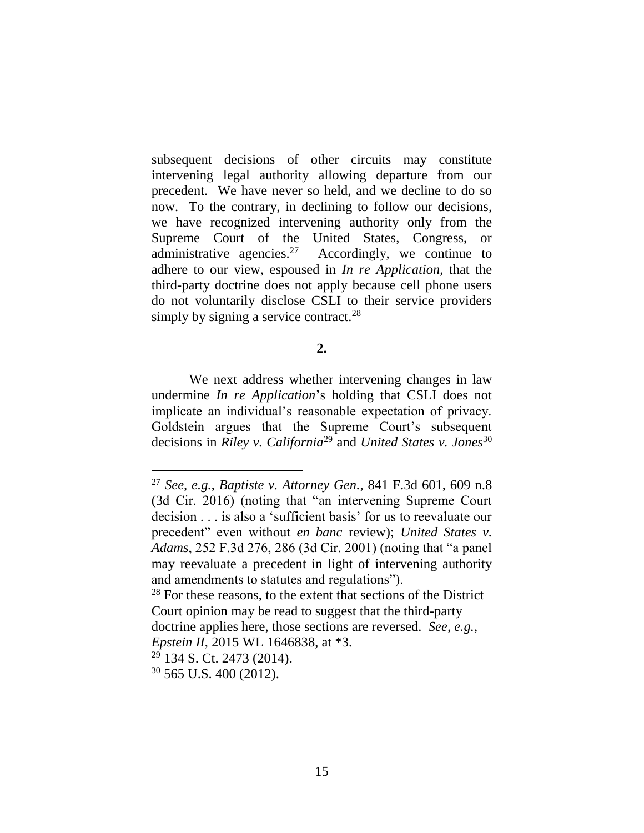subsequent decisions of other circuits may constitute intervening legal authority allowing departure from our precedent. We have never so held, and we decline to do so now. To the contrary, in declining to follow our decisions, we have recognized intervening authority only from the Supreme Court of the United States, Congress, or administrative agencies.<sup>27</sup> Accordingly, we continue to adhere to our view, espoused in *In re Application*, that the third-party doctrine does not apply because cell phone users do not voluntarily disclose CSLI to their service providers simply by signing a service contract.<sup>28</sup>

# **2.**

We next address whether intervening changes in law undermine *In re Application*'s holding that CSLI does not implicate an individual's reasonable expectation of privacy. Goldstein argues that the Supreme Court's subsequent decisions in *Riley v. California*<sup>29</sup> and *United States v. Jones*<sup>30</sup>

<sup>27</sup> *See, e.g.*, *Baptiste v. Attorney Gen.*, 841 F.3d 601, 609 n.8 (3d Cir. 2016) (noting that "an intervening Supreme Court decision . . . is also a 'sufficient basis' for us to reevaluate our precedent" even without *en banc* review); *United States v. Adams*, 252 F.3d 276, 286 (3d Cir. 2001) (noting that "a panel may reevaluate a precedent in light of intervening authority and amendments to statutes and regulations").

 $28$  For these reasons, to the extent that sections of the District Court opinion may be read to suggest that the third-party doctrine applies here, those sections are reversed. *See, e.g.*,

*Epstein II*, 2015 WL 1646838, at \*3.

<sup>29</sup> 134 S. Ct. 2473 (2014).

 $30\,565$  U.S. 400 (2012).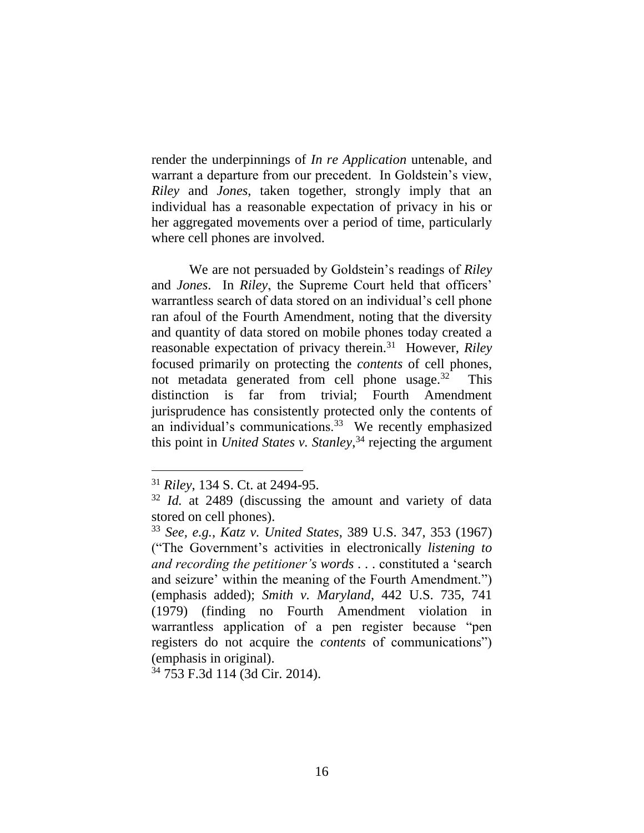render the underpinnings of *In re Application* untenable, and warrant a departure from our precedent. In Goldstein's view, *Riley* and *Jones*, taken together, strongly imply that an individual has a reasonable expectation of privacy in his or her aggregated movements over a period of time, particularly where cell phones are involved.

We are not persuaded by Goldstein's readings of *Riley* and *Jones*. In *Riley*, the Supreme Court held that officers' warrantless search of data stored on an individual's cell phone ran afoul of the Fourth Amendment, noting that the diversity and quantity of data stored on mobile phones today created a reasonable expectation of privacy therein.<sup>31</sup> However, *Riley* focused primarily on protecting the *contents* of cell phones, not metadata generated from cell phone usage. $32$  This distinction is far from trivial; Fourth Amendment jurisprudence has consistently protected only the contents of an individual's communications.<sup>33</sup> We recently emphasized this point in *United States v. Stanley*, <sup>34</sup> rejecting the argument

<sup>34</sup> 753 F.3d 114 (3d Cir. 2014).

<sup>31</sup> *Riley*, 134 S. Ct. at 2494-95.

<sup>32</sup> *Id.* at 2489 (discussing the amount and variety of data stored on cell phones).

<sup>33</sup> *See, e.g.*, *Katz v. United States*, 389 U.S. 347, 353 (1967) ("The Government's activities in electronically *listening to and recording the petitioner's words* . . . constituted a 'search and seizure' within the meaning of the Fourth Amendment.") (emphasis added); *Smith v. Maryland*, 442 U.S. 735, 741 (1979) (finding no Fourth Amendment violation in warrantless application of a pen register because "pen registers do not acquire the *contents* of communications") (emphasis in original).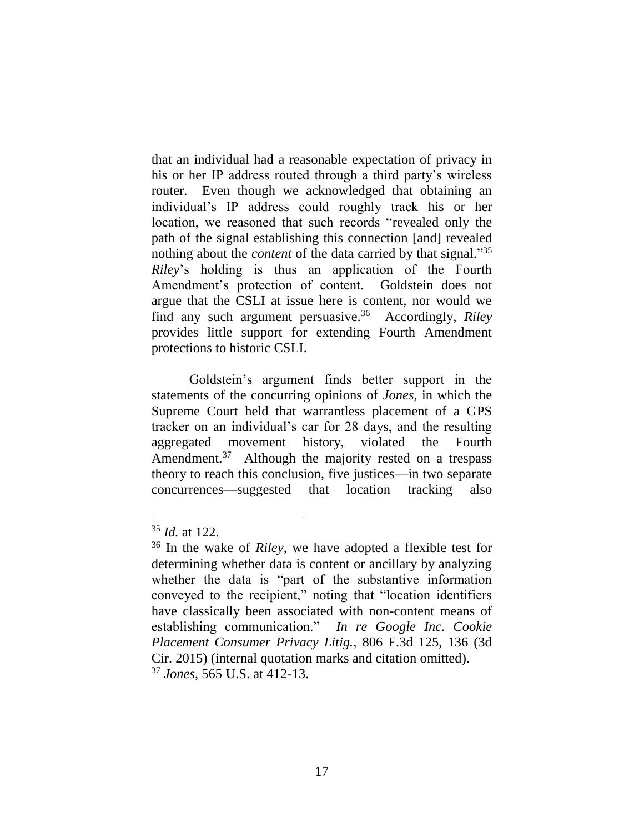that an individual had a reasonable expectation of privacy in his or her IP address routed through a third party's wireless router. Even though we acknowledged that obtaining an individual's IP address could roughly track his or her location, we reasoned that such records "revealed only the path of the signal establishing this connection [and] revealed nothing about the *content* of the data carried by that signal." 35 *Riley*'s holding is thus an application of the Fourth Amendment's protection of content. Goldstein does not argue that the CSLI at issue here is content, nor would we find any such argument persuasive.<sup>36</sup> Accordingly, *Riley* provides little support for extending Fourth Amendment protections to historic CSLI.

Goldstein's argument finds better support in the statements of the concurring opinions of *Jones*, in which the Supreme Court held that warrantless placement of a GPS tracker on an individual's car for 28 days, and the resulting aggregated movement history, violated the Fourth Amendment.<sup>37</sup> Although the majority rested on a trespass theory to reach this conclusion, five justices—in two separate concurrences—suggested that location tracking also

<sup>35</sup> *Id.* at 122.

<sup>36</sup> In the wake of *Riley*, we have adopted a flexible test for determining whether data is content or ancillary by analyzing whether the data is "part of the substantive information conveyed to the recipient," noting that "location identifiers have classically been associated with non-content means of establishing communication." *In re Google Inc. Cookie Placement Consumer Privacy Litig.*, 806 F.3d 125, 136 (3d Cir. 2015) (internal quotation marks and citation omitted). <sup>37</sup> *Jones*, 565 U.S. at 412-13.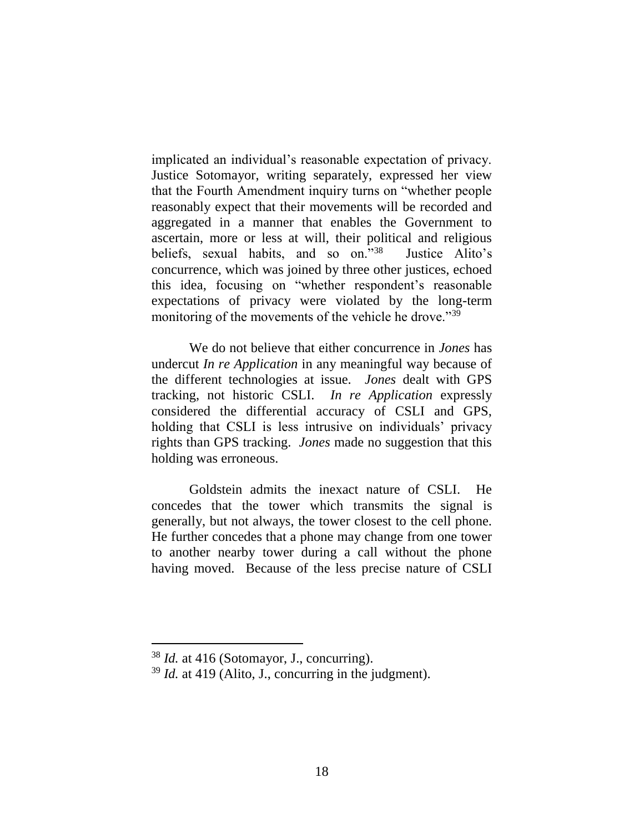implicated an individual's reasonable expectation of privacy. Justice Sotomayor, writing separately, expressed her view that the Fourth Amendment inquiry turns on "whether people reasonably expect that their movements will be recorded and aggregated in a manner that enables the Government to ascertain, more or less at will, their political and religious beliefs, sexual habits, and so on."<sup>38</sup> Justice Alito's concurrence, which was joined by three other justices, echoed this idea, focusing on "whether respondent's reasonable expectations of privacy were violated by the long-term monitoring of the movements of the vehicle he drove."<sup>39</sup>

We do not believe that either concurrence in *Jones* has undercut *In re Application* in any meaningful way because of the different technologies at issue. *Jones* dealt with GPS tracking, not historic CSLI. *In re Application* expressly considered the differential accuracy of CSLI and GPS, holding that CSLI is less intrusive on individuals' privacy rights than GPS tracking. *Jones* made no suggestion that this holding was erroneous.

Goldstein admits the inexact nature of CSLI. He concedes that the tower which transmits the signal is generally, but not always, the tower closest to the cell phone. He further concedes that a phone may change from one tower to another nearby tower during a call without the phone having moved. Because of the less precise nature of CSLI

<sup>38</sup> *Id.* at 416 (Sotomayor, J., concurring).

<sup>39</sup> *Id.* at 419 (Alito, J., concurring in the judgment).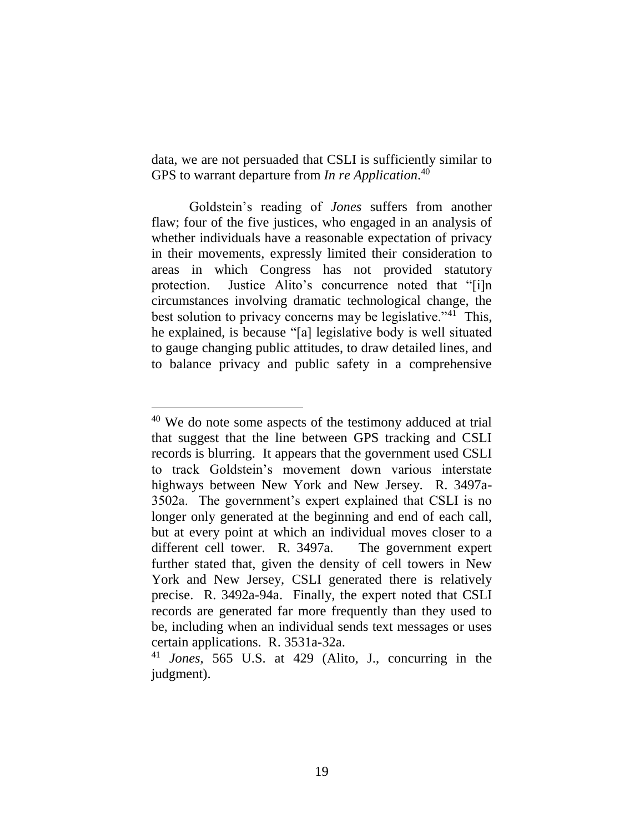data, we are not persuaded that CSLI is sufficiently similar to GPS to warrant departure from *In re Application*. 40

Goldstein's reading of *Jones* suffers from another flaw; four of the five justices, who engaged in an analysis of whether individuals have a reasonable expectation of privacy in their movements, expressly limited their consideration to areas in which Congress has not provided statutory protection. Justice Alito's concurrence noted that "[i]n circumstances involving dramatic technological change, the best solution to privacy concerns may be legislative."<sup>41</sup> This, he explained, is because "[a] legislative body is well situated to gauge changing public attitudes, to draw detailed lines, and to balance privacy and public safety in a comprehensive

<sup>40</sup> We do note some aspects of the testimony adduced at trial that suggest that the line between GPS tracking and CSLI records is blurring. It appears that the government used CSLI to track Goldstein's movement down various interstate highways between New York and New Jersey. R. 3497a-3502a. The government's expert explained that CSLI is no longer only generated at the beginning and end of each call, but at every point at which an individual moves closer to a different cell tower. R. 3497a. The government expert further stated that, given the density of cell towers in New York and New Jersey, CSLI generated there is relatively precise. R. 3492a-94a. Finally, the expert noted that CSLI records are generated far more frequently than they used to be, including when an individual sends text messages or uses certain applications. R. 3531a-32a.

<sup>41</sup> *Jones*, 565 U.S. at 429 (Alito, J., concurring in the judgment).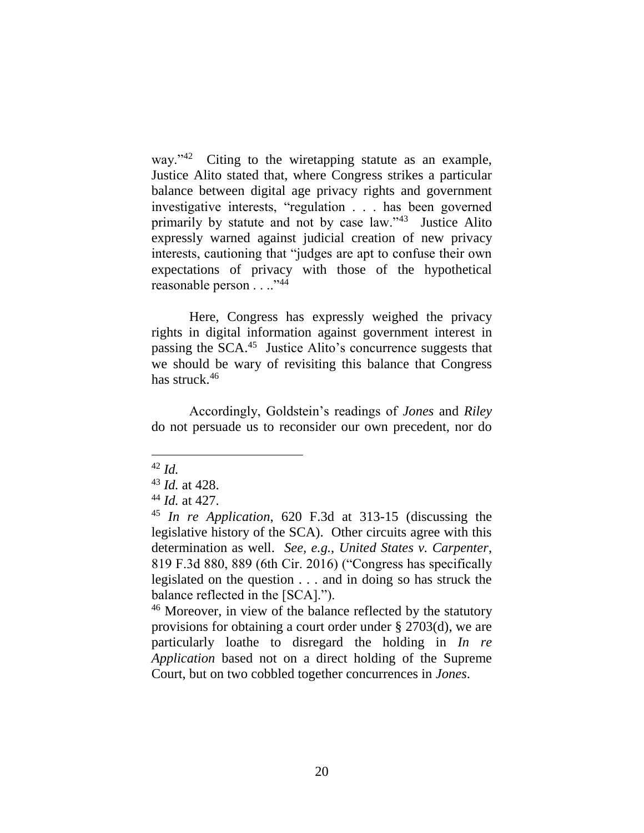way."<sup>42</sup> Citing to the wiretapping statute as an example, Justice Alito stated that, where Congress strikes a particular balance between digital age privacy rights and government investigative interests, "regulation . . . has been governed primarily by statute and not by case law."<sup>43</sup> Justice Alito expressly warned against judicial creation of new privacy interests, cautioning that "judges are apt to confuse their own expectations of privacy with those of the hypothetical reasonable person . . ..<sup>"44</sup>

Here, Congress has expressly weighed the privacy rights in digital information against government interest in passing the SCA.<sup>45</sup> Justice Alito's concurrence suggests that we should be wary of revisiting this balance that Congress has struck.<sup>46</sup>

Accordingly, Goldstein's readings of *Jones* and *Riley* do not persuade us to reconsider our own precedent, nor do

<sup>46</sup> Moreover, in view of the balance reflected by the statutory provisions for obtaining a court order under § 2703(d), we are particularly loathe to disregard the holding in *In re Application* based not on a direct holding of the Supreme Court, but on two cobbled together concurrences in *Jones*.

<sup>42</sup> *Id.*

<sup>43</sup> *Id.* at 428.

<sup>44</sup> *Id.* at 427.

<sup>45</sup> *In re Application*, 620 F.3d at 313-15 (discussing the legislative history of the SCA). Other circuits agree with this determination as well. *See, e.g.*, *United States v. Carpenter*, 819 F.3d 880, 889 (6th Cir. 2016) ("Congress has specifically legislated on the question . . . and in doing so has struck the balance reflected in the [SCA].").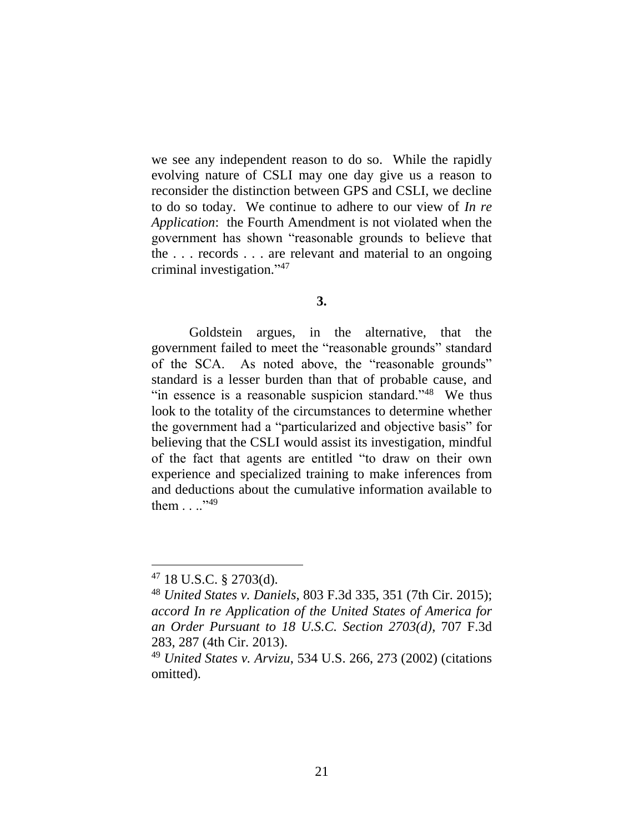we see any independent reason to do so. While the rapidly evolving nature of CSLI may one day give us a reason to reconsider the distinction between GPS and CSLI, we decline to do so today. We continue to adhere to our view of *In re Application*: the Fourth Amendment is not violated when the government has shown "reasonable grounds to believe that the . . . records . . . are relevant and material to an ongoing criminal investigation." 47

## **3.**

Goldstein argues, in the alternative, that the government failed to meet the "reasonable grounds" standard of the SCA. As noted above, the "reasonable grounds" standard is a lesser burden than that of probable cause, and "in essence is a reasonable suspicion standard." $48$  We thus look to the totality of the circumstances to determine whether the government had a "particularized and objective basis" for believing that the CSLI would assist its investigation, mindful of the fact that agents are entitled "to draw on their own experience and specialized training to make inferences from and deductions about the cumulative information available to them  $\ldots$ <sup>349</sup>

 $47$  18 U.S.C. § 2703(d).

<sup>48</sup> *United States v. Daniels*, 803 F.3d 335, 351 (7th Cir. 2015); *accord In re Application of the United States of America for an Order Pursuant to 18 U.S.C. Section 2703(d)*, 707 F.3d 283, 287 (4th Cir. 2013).

<sup>49</sup> *United States v. Arvizu*, 534 U.S. 266, 273 (2002) (citations omitted).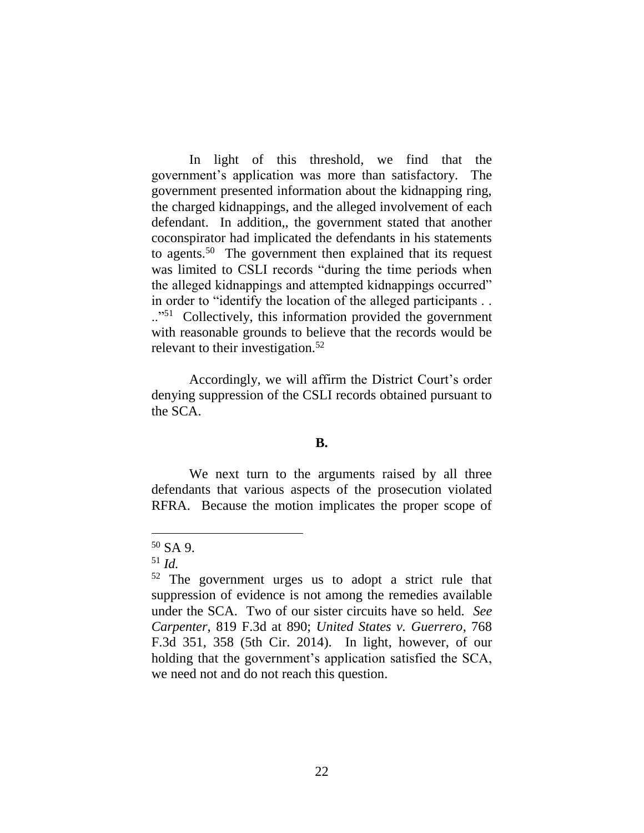In light of this threshold, we find that the government's application was more than satisfactory. The government presented information about the kidnapping ring, the charged kidnappings, and the alleged involvement of each defendant. In addition,, the government stated that another coconspirator had implicated the defendants in his statements to agents.<sup>50</sup> The government then explained that its request was limited to CSLI records "during the time periods when the alleged kidnappings and attempted kidnappings occurred" in order to "identify the location of the alleged participants . . .."<sup>51</sup> Collectively, this information provided the government with reasonable grounds to believe that the records would be relevant to their investigation.<sup>52</sup>

Accordingly, we will affirm the District Court's order denying suppression of the CSLI records obtained pursuant to the SCA.

# **B.**

We next turn to the arguments raised by all three defendants that various aspects of the prosecution violated RFRA. Because the motion implicates the proper scope of

<sup>50</sup> SA 9.

<sup>51</sup> *Id.*

<sup>52</sup> The government urges us to adopt a strict rule that suppression of evidence is not among the remedies available under the SCA. Two of our sister circuits have so held. *See Carpenter*, 819 F.3d at 890; *United States v. Guerrero*, 768 F.3d 351, 358 (5th Cir. 2014). In light, however, of our holding that the government's application satisfied the SCA, we need not and do not reach this question.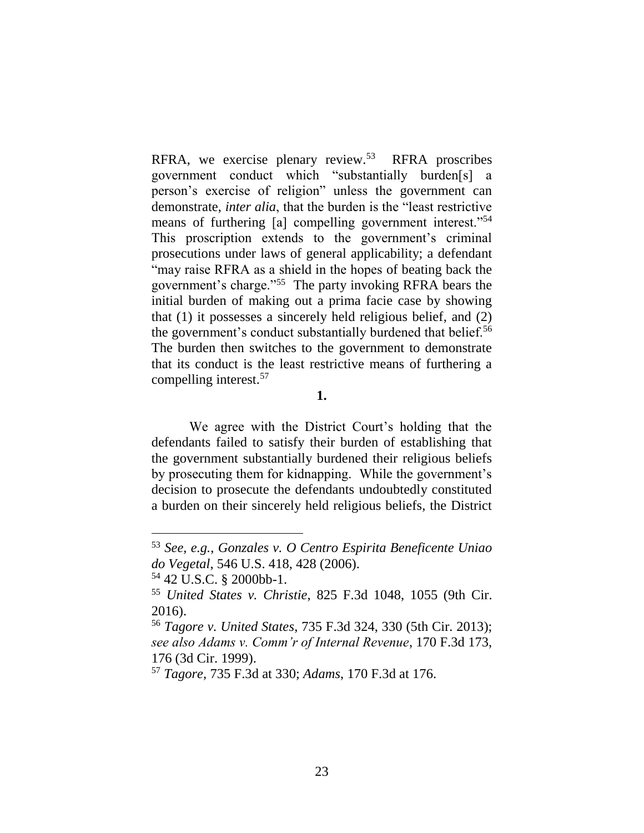RFRA, we exercise plenary review.<sup>53</sup> RFRA proscribes government conduct which "substantially burden[s] a person's exercise of religion" unless the government can demonstrate, *inter alia*, that the burden is the "least restrictive means of furthering [a] compelling government interest."<sup>54</sup> This proscription extends to the government's criminal prosecutions under laws of general applicability; a defendant "may raise RFRA as a shield in the hopes of beating back the government's charge."<sup>55</sup> The party invoking RFRA bears the initial burden of making out a prima facie case by showing that (1) it possesses a sincerely held religious belief, and (2) the government's conduct substantially burdened that belief.<sup>56</sup> The burden then switches to the government to demonstrate that its conduct is the least restrictive means of furthering a compelling interest.<sup>57</sup>

**1.**

We agree with the District Court's holding that the defendants failed to satisfy their burden of establishing that the government substantially burdened their religious beliefs by prosecuting them for kidnapping. While the government's decision to prosecute the defendants undoubtedly constituted a burden on their sincerely held religious beliefs, the District

<sup>53</sup> *See, e.g.*, *Gonzales v. O Centro Espirita Beneficente Uniao do Vegetal*, 546 U.S. 418, 428 (2006).

<sup>54</sup> 42 U.S.C. § 2000bb-1.

<sup>55</sup> *United States v. Christie*, 825 F.3d 1048, 1055 (9th Cir. 2016).

<sup>56</sup> *Tagore v. United States*, 735 F.3d 324, 330 (5th Cir. 2013); *see also Adams v. Comm'r of Internal Revenue*, 170 F.3d 173, 176 (3d Cir. 1999).

<sup>57</sup> *Tagore*, 735 F.3d at 330; *Adams*, 170 F.3d at 176.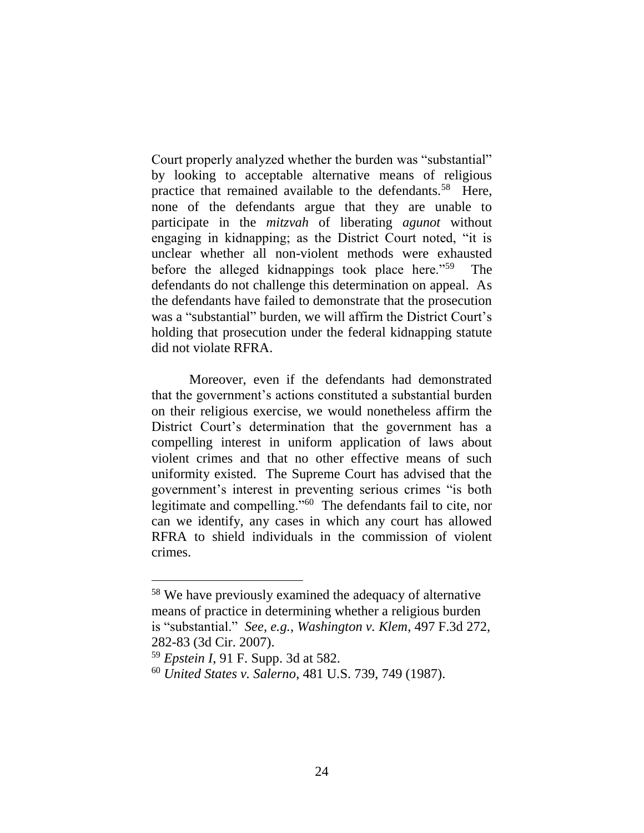Court properly analyzed whether the burden was "substantial" by looking to acceptable alternative means of religious practice that remained available to the defendants.<sup>58</sup> Here, none of the defendants argue that they are unable to participate in the *mitzvah* of liberating *agunot* without engaging in kidnapping; as the District Court noted, "it is unclear whether all non-violent methods were exhausted before the alleged kidnappings took place here."<sup>59</sup> The defendants do not challenge this determination on appeal. As the defendants have failed to demonstrate that the prosecution was a "substantial" burden, we will affirm the District Court's holding that prosecution under the federal kidnapping statute did not violate RFRA.

Moreover, even if the defendants had demonstrated that the government's actions constituted a substantial burden on their religious exercise, we would nonetheless affirm the District Court's determination that the government has a compelling interest in uniform application of laws about violent crimes and that no other effective means of such uniformity existed. The Supreme Court has advised that the government's interest in preventing serious crimes "is both legitimate and compelling."<sup>60</sup> The defendants fail to cite, nor can we identify, any cases in which any court has allowed RFRA to shield individuals in the commission of violent crimes.

<sup>58</sup> We have previously examined the adequacy of alternative means of practice in determining whether a religious burden is "substantial." *See, e.g.*, *Washington v. Klem*, 497 F.3d 272, 282-83 (3d Cir. 2007).

<sup>59</sup> *Epstein I*, 91 F. Supp. 3d at 582.

<sup>60</sup> *United States v. Salerno*, 481 U.S. 739, 749 (1987).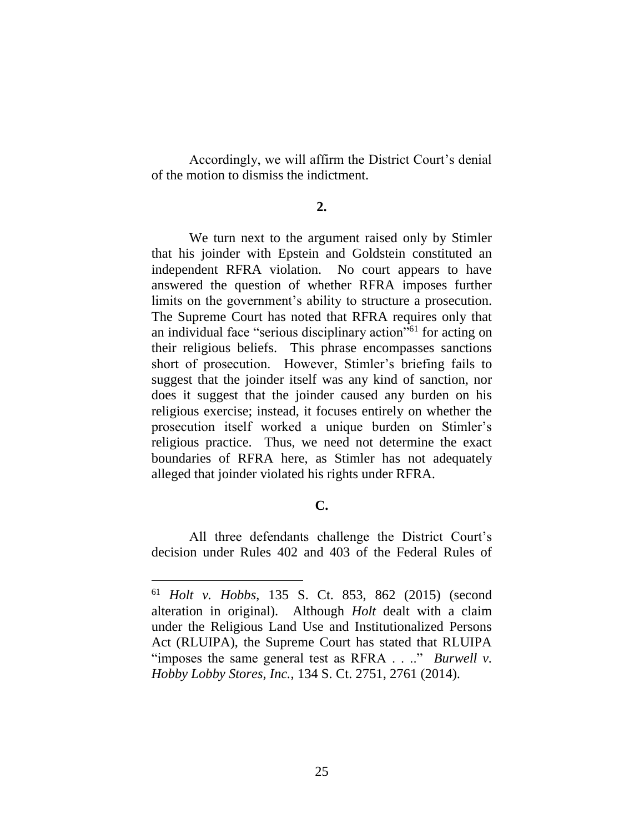Accordingly, we will affirm the District Court's denial of the motion to dismiss the indictment.

#### **2.**

We turn next to the argument raised only by Stimler that his joinder with Epstein and Goldstein constituted an independent RFRA violation. No court appears to have answered the question of whether RFRA imposes further limits on the government's ability to structure a prosecution. The Supreme Court has noted that RFRA requires only that an individual face "serious disciplinary action" <sup>61</sup> for acting on their religious beliefs. This phrase encompasses sanctions short of prosecution. However, Stimler's briefing fails to suggest that the joinder itself was any kind of sanction, nor does it suggest that the joinder caused any burden on his religious exercise; instead, it focuses entirely on whether the prosecution itself worked a unique burden on Stimler's religious practice. Thus, we need not determine the exact boundaries of RFRA here, as Stimler has not adequately alleged that joinder violated his rights under RFRA.

# **C.**

All three defendants challenge the District Court's decision under Rules 402 and 403 of the Federal Rules of

<sup>61</sup> *Holt v. Hobbs*, 135 S. Ct. 853, 862 (2015) (second alteration in original). Although *Holt* dealt with a claim under the Religious Land Use and Institutionalized Persons Act (RLUIPA), the Supreme Court has stated that RLUIPA "imposes the same general test as RFRA . . .." *Burwell v. Hobby Lobby Stores, Inc.*, 134 S. Ct. 2751, 2761 (2014).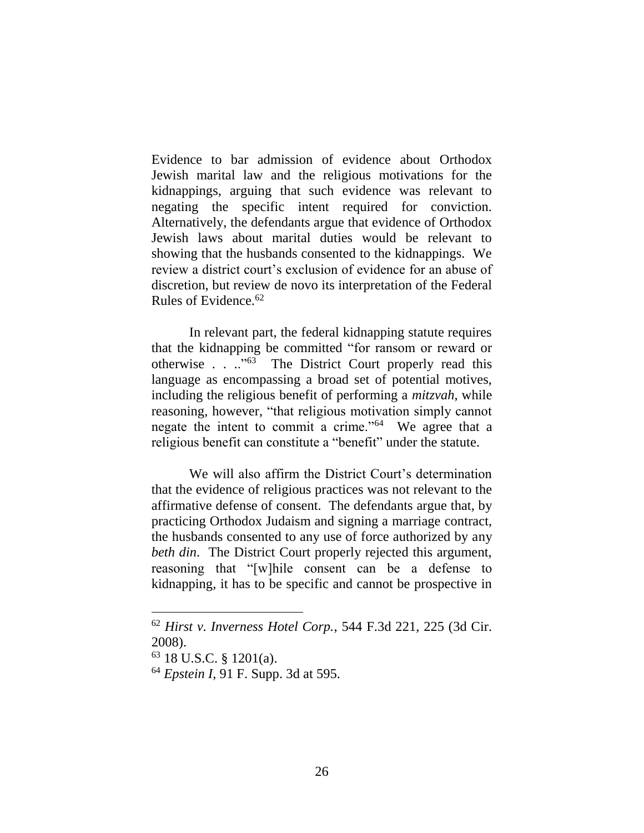Evidence to bar admission of evidence about Orthodox Jewish marital law and the religious motivations for the kidnappings, arguing that such evidence was relevant to negating the specific intent required for conviction. Alternatively, the defendants argue that evidence of Orthodox Jewish laws about marital duties would be relevant to showing that the husbands consented to the kidnappings. We review a district court's exclusion of evidence for an abuse of discretion, but review de novo its interpretation of the Federal Rules of Evidence.<sup>62</sup>

In relevant part, the federal kidnapping statute requires that the kidnapping be committed "for ransom or reward or otherwise . . ..<sup>"63</sup> The District Court properly read this language as encompassing a broad set of potential motives, including the religious benefit of performing a *mitzvah*, while reasoning, however, "that religious motivation simply cannot negate the intent to commit a crime."<sup>64</sup> We agree that a religious benefit can constitute a "benefit" under the statute.

We will also affirm the District Court's determination that the evidence of religious practices was not relevant to the affirmative defense of consent. The defendants argue that, by practicing Orthodox Judaism and signing a marriage contract, the husbands consented to any use of force authorized by any *beth din*. The District Court properly rejected this argument, reasoning that "[w]hile consent can be a defense to kidnapping, it has to be specific and cannot be prospective in

<sup>62</sup> *Hirst v. Inverness Hotel Corp.*, 544 F.3d 221, 225 (3d Cir. 2008).

 $63$  18 U.S.C. § 1201(a).

<sup>64</sup> *Epstein I*, 91 F. Supp. 3d at 595.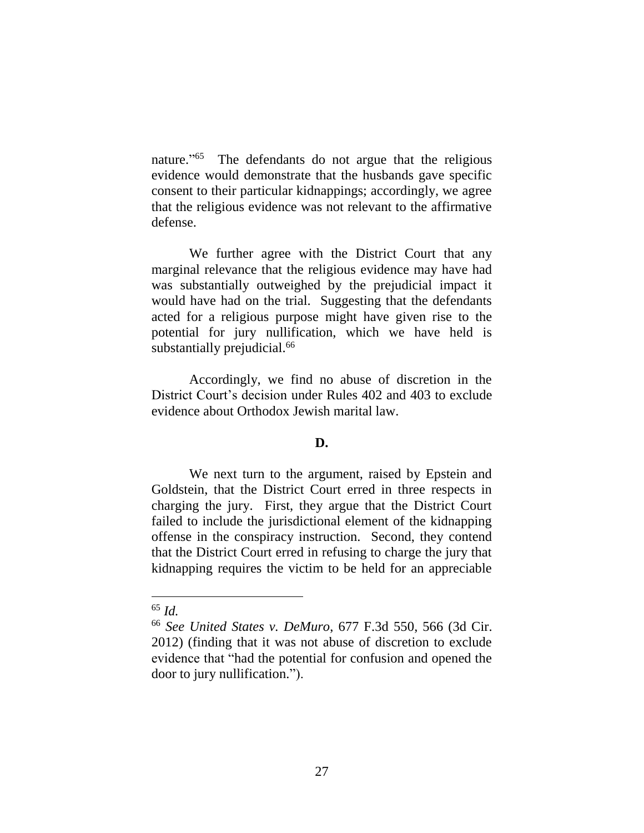nature." 65 The defendants do not argue that the religious evidence would demonstrate that the husbands gave specific consent to their particular kidnappings; accordingly, we agree that the religious evidence was not relevant to the affirmative defense.

We further agree with the District Court that any marginal relevance that the religious evidence may have had was substantially outweighed by the prejudicial impact it would have had on the trial. Suggesting that the defendants acted for a religious purpose might have given rise to the potential for jury nullification, which we have held is substantially prejudicial.<sup>66</sup>

Accordingly, we find no abuse of discretion in the District Court's decision under Rules 402 and 403 to exclude evidence about Orthodox Jewish marital law.

# **D.**

We next turn to the argument, raised by Epstein and Goldstein, that the District Court erred in three respects in charging the jury. First, they argue that the District Court failed to include the jurisdictional element of the kidnapping offense in the conspiracy instruction. Second, they contend that the District Court erred in refusing to charge the jury that kidnapping requires the victim to be held for an appreciable

<sup>65</sup> *Id.*

<sup>66</sup> *See United States v. DeMuro*, 677 F.3d 550, 566 (3d Cir. 2012) (finding that it was not abuse of discretion to exclude evidence that "had the potential for confusion and opened the door to jury nullification.").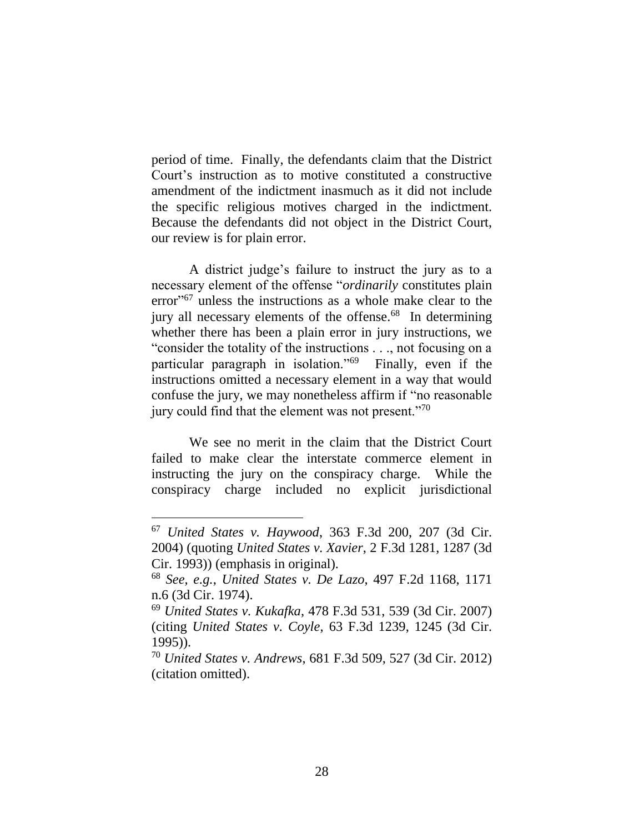period of time. Finally, the defendants claim that the District Court's instruction as to motive constituted a constructive amendment of the indictment inasmuch as it did not include the specific religious motives charged in the indictment. Because the defendants did not object in the District Court, our review is for plain error.

A district judge's failure to instruct the jury as to a necessary element of the offense "*ordinarily* constitutes plain error" <sup>67</sup> unless the instructions as a whole make clear to the jury all necessary elements of the offense.<sup>68</sup> In determining whether there has been a plain error in jury instructions, we "consider the totality of the instructions . . ., not focusing on a particular paragraph in isolation."<sup>69</sup> Finally, even if the instructions omitted a necessary element in a way that would confuse the jury, we may nonetheless affirm if "no reasonable jury could find that the element was not present."<sup>70</sup>

We see no merit in the claim that the District Court failed to make clear the interstate commerce element in instructing the jury on the conspiracy charge. While the conspiracy charge included no explicit jurisdictional

<sup>67</sup> *United States v. Haywood*, 363 F.3d 200, 207 (3d Cir. 2004) (quoting *United States v. Xavier*, 2 F.3d 1281, 1287 (3d Cir. 1993)) (emphasis in original).

<sup>68</sup> *See, e.g.*, *United States v. De Lazo*, 497 F.2d 1168, 1171 n.6 (3d Cir. 1974).

<sup>69</sup> *United States v. Kukafka*, 478 F.3d 531, 539 (3d Cir. 2007) (citing *United States v. Coyle*, 63 F.3d 1239, 1245 (3d Cir. 1995)).

<sup>70</sup> *United States v. Andrews*, 681 F.3d 509, 527 (3d Cir. 2012) (citation omitted).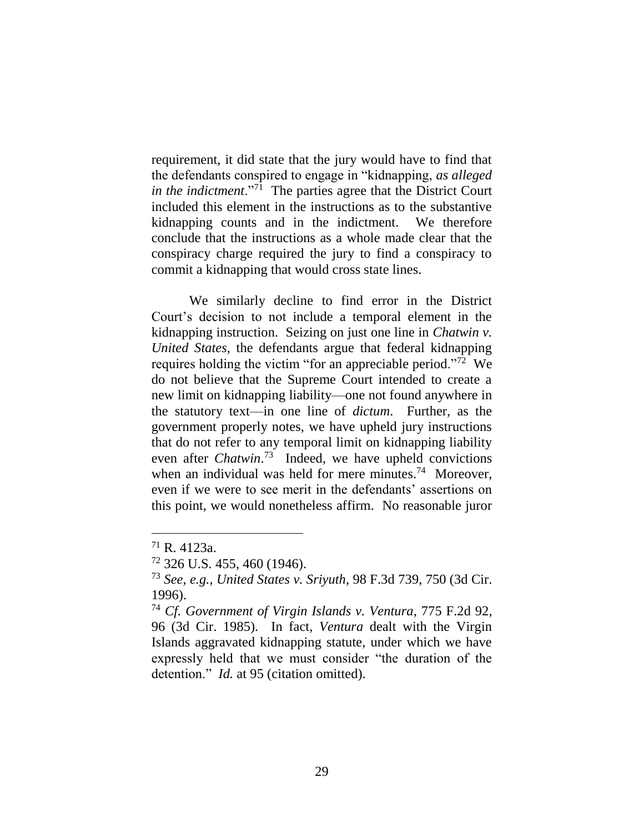requirement, it did state that the jury would have to find that the defendants conspired to engage in "kidnapping, *as alleged in the indictment*."<sup>71</sup> The parties agree that the District Court included this element in the instructions as to the substantive kidnapping counts and in the indictment. We therefore conclude that the instructions as a whole made clear that the conspiracy charge required the jury to find a conspiracy to commit a kidnapping that would cross state lines.

We similarly decline to find error in the District Court's decision to not include a temporal element in the kidnapping instruction. Seizing on just one line in *Chatwin v. United States*, the defendants argue that federal kidnapping requires holding the victim "for an appreciable period."<sup>72</sup> We do not believe that the Supreme Court intended to create a new limit on kidnapping liability—one not found anywhere in the statutory text—in one line of *dictum*. Further, as the government properly notes, we have upheld jury instructions that do not refer to any temporal limit on kidnapping liability even after *Chatwin*. 73 Indeed, we have upheld convictions when an individual was held for mere minutes.<sup>74</sup> Moreover, even if we were to see merit in the defendants' assertions on this point, we would nonetheless affirm. No reasonable juror

<sup>71</sup> R. 4123a.

<sup>72</sup> 326 U.S. 455, 460 (1946).

<sup>73</sup> *See, e.g.*, *United States v. Sriyuth*, 98 F.3d 739, 750 (3d Cir. 1996).

<sup>74</sup> *Cf. Government of Virgin Islands v. Ventura*, 775 F.2d 92, 96 (3d Cir. 1985). In fact, *Ventura* dealt with the Virgin Islands aggravated kidnapping statute, under which we have expressly held that we must consider "the duration of the detention." *Id.* at 95 (citation omitted).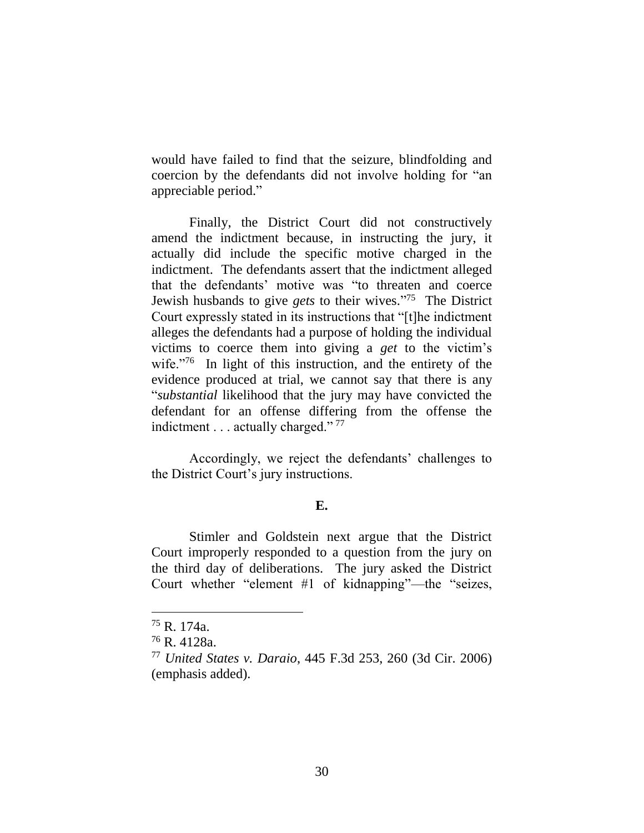would have failed to find that the seizure, blindfolding and coercion by the defendants did not involve holding for "an appreciable period."

Finally, the District Court did not constructively amend the indictment because, in instructing the jury, it actually did include the specific motive charged in the indictment. The defendants assert that the indictment alleged that the defendants' motive was "to threaten and coerce Jewish husbands to give *gets* to their wives." <sup>75</sup> The District Court expressly stated in its instructions that "[t]he indictment alleges the defendants had a purpose of holding the individual victims to coerce them into giving a *get* to the victim's wife. $176$  In light of this instruction, and the entirety of the evidence produced at trial, we cannot say that there is any "*substantial* likelihood that the jury may have convicted the defendant for an offense differing from the offense the indictment . . . actually charged."<sup>77</sup>

Accordingly, we reject the defendants' challenges to the District Court's jury instructions.

# **E.**

Stimler and Goldstein next argue that the District Court improperly responded to a question from the jury on the third day of deliberations. The jury asked the District Court whether "element #1 of kidnapping"—the "seizes,

<sup>75</sup> R. 174a.

<sup>76</sup> R. 4128a.

<sup>77</sup> *United States v. Daraio*, 445 F.3d 253, 260 (3d Cir. 2006) (emphasis added).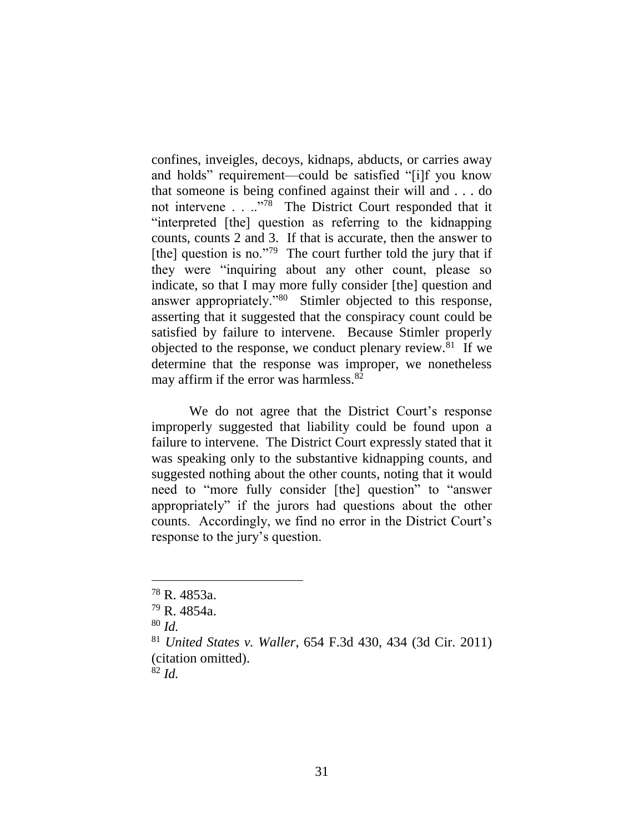confines, inveigles, decoys, kidnaps, abducts, or carries away and holds" requirement—could be satisfied "[i]f you know that someone is being confined against their will and . . . do not intervene . . .."<sup>78</sup> The District Court responded that it "interpreted [the] question as referring to the kidnapping counts, counts 2 and 3. If that is accurate, then the answer to [the] question is no."<sup>79</sup> The court further told the jury that if they were "inquiring about any other count, please so indicate, so that I may more fully consider [the] question and answer appropriately."<sup>80</sup> Stimler objected to this response, asserting that it suggested that the conspiracy count could be satisfied by failure to intervene. Because Stimler properly objected to the response, we conduct plenary review.<sup>81</sup> If we determine that the response was improper, we nonetheless may affirm if the error was harmless. $82$ 

We do not agree that the District Court's response improperly suggested that liability could be found upon a failure to intervene. The District Court expressly stated that it was speaking only to the substantive kidnapping counts, and suggested nothing about the other counts, noting that it would need to "more fully consider [the] question" to "answer appropriately" if the jurors had questions about the other counts. Accordingly, we find no error in the District Court's response to the jury's question.

<sup>78</sup> R. 4853a.

<sup>79</sup> R. 4854a.

<sup>80</sup> *Id.*

<sup>81</sup> *United States v. Waller*, 654 F.3d 430, 434 (3d Cir. 2011) (citation omitted).

<sup>82</sup> *Id.*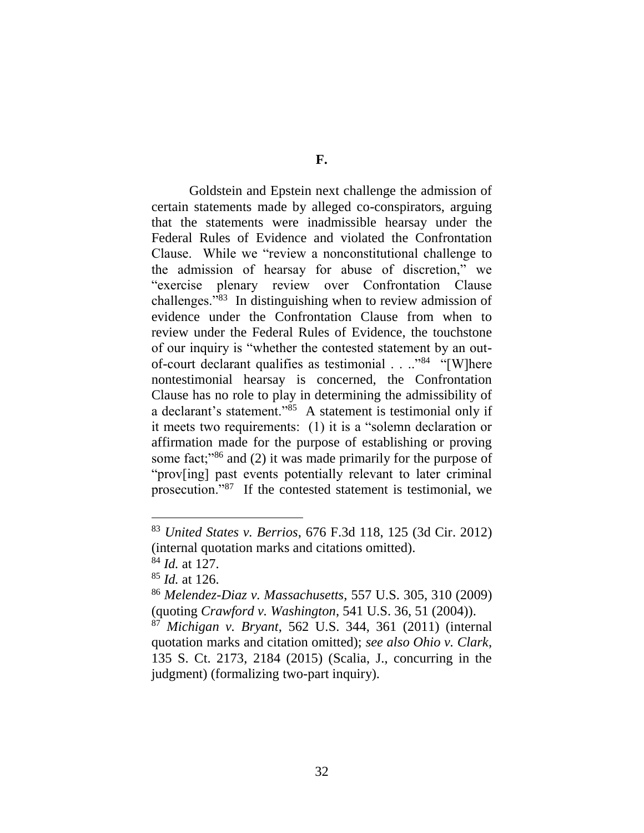Goldstein and Epstein next challenge the admission of certain statements made by alleged co-conspirators, arguing that the statements were inadmissible hearsay under the Federal Rules of Evidence and violated the Confrontation Clause. While we "review a nonconstitutional challenge to the admission of hearsay for abuse of discretion," we "exercise plenary review over Confrontation Clause challenges."<sup>83</sup> In distinguishing when to review admission of evidence under the Confrontation Clause from when to review under the Federal Rules of Evidence, the touchstone of our inquiry is "whether the contested statement by an outof-court declarant qualifies as testimonial . . ..<sup>"84</sup> "[W]here nontestimonial hearsay is concerned, the Confrontation Clause has no role to play in determining the admissibility of a declarant's statement."<sup>85</sup> A statement is testimonial only if it meets two requirements: (1) it is a "solemn declaration or affirmation made for the purpose of establishing or proving some fact;<sup>386</sup> and (2) it was made primarily for the purpose of "prov[ing] past events potentially relevant to later criminal prosecution."<sup>87</sup> If the contested statement is testimonial, we

<sup>83</sup> *United States v. Berrios*, 676 F.3d 118, 125 (3d Cir. 2012) (internal quotation marks and citations omitted).

<sup>84</sup> *Id.* at 127.

<sup>85</sup> *Id.* at 126.

<sup>86</sup> *Melendez-Diaz v. Massachusetts*, 557 U.S. 305, 310 (2009) (quoting *Crawford v. Washington*, 541 U.S. 36, 51 (2004)).

<sup>87</sup> *Michigan v. Bryant*, 562 U.S. 344, 361 (2011) (internal quotation marks and citation omitted); *see also Ohio v. Clark*, 135 S. Ct. 2173, 2184 (2015) (Scalia, J., concurring in the judgment) (formalizing two-part inquiry).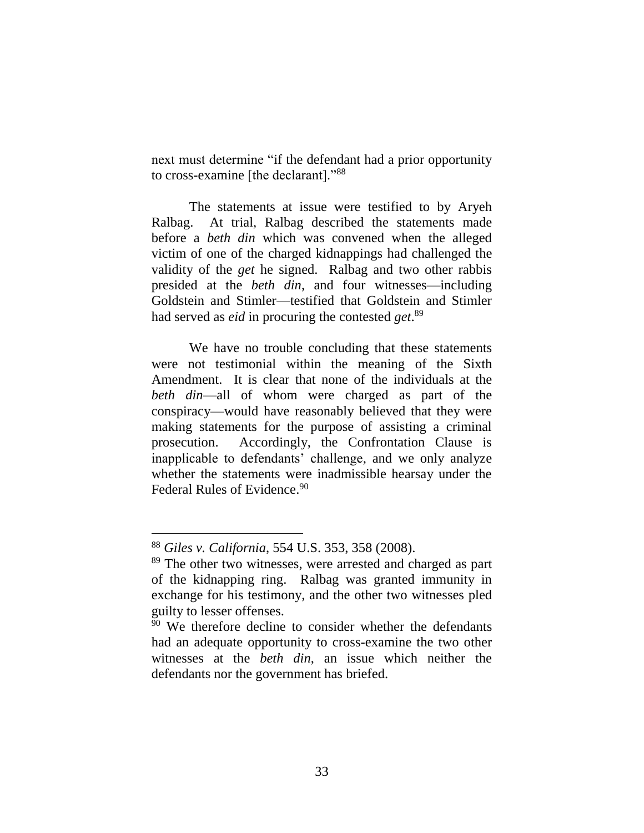next must determine "if the defendant had a prior opportunity to cross-examine [the declarant]."<sup>88</sup>

The statements at issue were testified to by Aryeh Ralbag. At trial, Ralbag described the statements made before a *beth din* which was convened when the alleged victim of one of the charged kidnappings had challenged the validity of the *get* he signed. Ralbag and two other rabbis presided at the *beth din*, and four witnesses—including Goldstein and Stimler—testified that Goldstein and Stimler had served as *eid* in procuring the contested *get*. 89

We have no trouble concluding that these statements were not testimonial within the meaning of the Sixth Amendment. It is clear that none of the individuals at the *beth din*—all of whom were charged as part of the conspiracy—would have reasonably believed that they were making statements for the purpose of assisting a criminal prosecution. Accordingly, the Confrontation Clause is inapplicable to defendants' challenge, and we only analyze whether the statements were inadmissible hearsay under the Federal Rules of Evidence.<sup>90</sup>

<sup>88</sup> *Giles v. California*, 554 U.S. 353, 358 (2008).

<sup>&</sup>lt;sup>89</sup> The other two witnesses, were arrested and charged as part of the kidnapping ring. Ralbag was granted immunity in exchange for his testimony, and the other two witnesses pled guilty to lesser offenses.

<sup>&</sup>lt;sup>90</sup> We therefore decline to consider whether the defendants had an adequate opportunity to cross-examine the two other witnesses at the *beth din*, an issue which neither the defendants nor the government has briefed.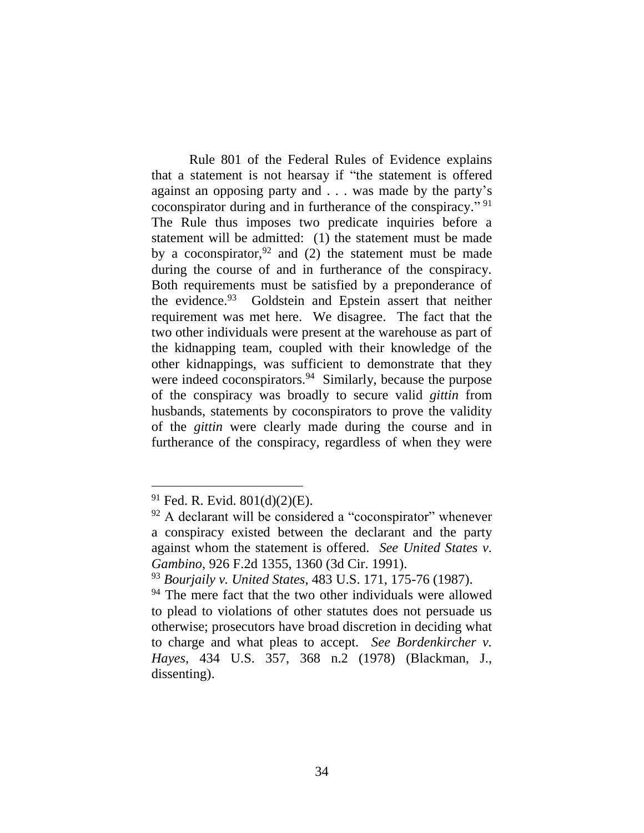Rule 801 of the Federal Rules of Evidence explains that a statement is not hearsay if "the statement is offered against an opposing party and . . . was made by the party's coconspirator during and in furtherance of the conspiracy."<sup>91</sup> The Rule thus imposes two predicate inquiries before a statement will be admitted: (1) the statement must be made by a coconspirator,  $92$  and (2) the statement must be made during the course of and in furtherance of the conspiracy. Both requirements must be satisfied by a preponderance of the evidence.<sup>93</sup> Goldstein and Epstein assert that neither requirement was met here. We disagree. The fact that the two other individuals were present at the warehouse as part of the kidnapping team, coupled with their knowledge of the other kidnappings, was sufficient to demonstrate that they were indeed coconspirators.<sup>94</sup> Similarly, because the purpose of the conspiracy was broadly to secure valid *gittin* from husbands, statements by coconspirators to prove the validity of the *gittin* were clearly made during the course and in furtherance of the conspiracy, regardless of when they were

 $91$  Fed. R. Evid.  $801(d)(2)(E)$ .

 $92$  A declarant will be considered a "coconspirator" whenever a conspiracy existed between the declarant and the party against whom the statement is offered. *See United States v. Gambino*, 926 F.2d 1355, 1360 (3d Cir. 1991).

<sup>93</sup> *Bourjaily v. United States*, 483 U.S. 171, 175-76 (1987).

<sup>&</sup>lt;sup>94</sup> The mere fact that the two other individuals were allowed to plead to violations of other statutes does not persuade us otherwise; prosecutors have broad discretion in deciding what to charge and what pleas to accept. *See Bordenkircher v. Hayes*, 434 U.S. 357, 368 n.2 (1978) (Blackman, J., dissenting).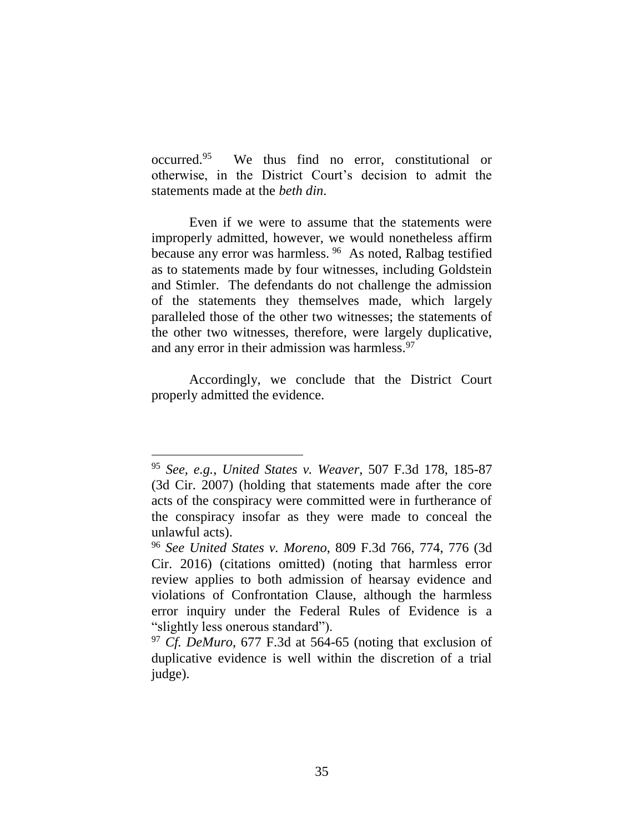occurred. 95 We thus find no error, constitutional or otherwise, in the District Court's decision to admit the statements made at the *beth din*.

Even if we were to assume that the statements were improperly admitted, however, we would nonetheless affirm because any error was harmless. <sup>96</sup> As noted, Ralbag testified as to statements made by four witnesses, including Goldstein and Stimler. The defendants do not challenge the admission of the statements they themselves made, which largely paralleled those of the other two witnesses; the statements of the other two witnesses, therefore, were largely duplicative, and any error in their admission was harmless. $97$ 

Accordingly, we conclude that the District Court properly admitted the evidence.

<sup>95</sup> *See, e.g.*, *United States v. Weaver*, 507 F.3d 178, 185-87 (3d Cir. 2007) (holding that statements made after the core acts of the conspiracy were committed were in furtherance of the conspiracy insofar as they were made to conceal the unlawful acts).

<sup>96</sup> *See United States v. Moreno*, 809 F.3d 766, 774, 776 (3d Cir. 2016) (citations omitted) (noting that harmless error review applies to both admission of hearsay evidence and violations of Confrontation Clause, although the harmless error inquiry under the Federal Rules of Evidence is a "slightly less onerous standard").

<sup>97</sup> *Cf. DeMuro*, 677 F.3d at 564-65 (noting that exclusion of duplicative evidence is well within the discretion of a trial judge).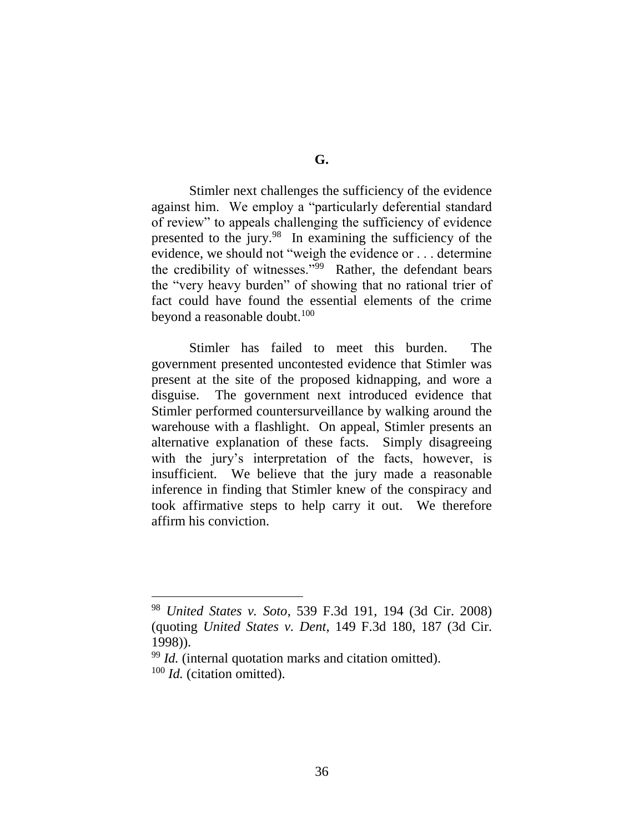Stimler next challenges the sufficiency of the evidence against him. We employ a "particularly deferential standard of review" to appeals challenging the sufficiency of evidence presented to the jury.<sup>98</sup> In examining the sufficiency of the evidence, we should not "weigh the evidence or . . . determine the credibility of witnesses."<sup>99</sup> Rather, the defendant bears the "very heavy burden" of showing that no rational trier of fact could have found the essential elements of the crime beyond a reasonable doubt.<sup>100</sup>

Stimler has failed to meet this burden. The government presented uncontested evidence that Stimler was present at the site of the proposed kidnapping, and wore a disguise. The government next introduced evidence that Stimler performed countersurveillance by walking around the warehouse with a flashlight. On appeal, Stimler presents an alternative explanation of these facts. Simply disagreeing with the jury's interpretation of the facts, however, is insufficient. We believe that the jury made a reasonable inference in finding that Stimler knew of the conspiracy and took affirmative steps to help carry it out. We therefore affirm his conviction.

<sup>98</sup> *United States v. Soto*, 539 F.3d 191, 194 (3d Cir. 2008) (quoting *United States v. Dent*, 149 F.3d 180, 187 (3d Cir. 1998)).

<sup>99</sup> *Id.* (internal quotation marks and citation omitted). <sup>100</sup> *Id.* (citation omitted).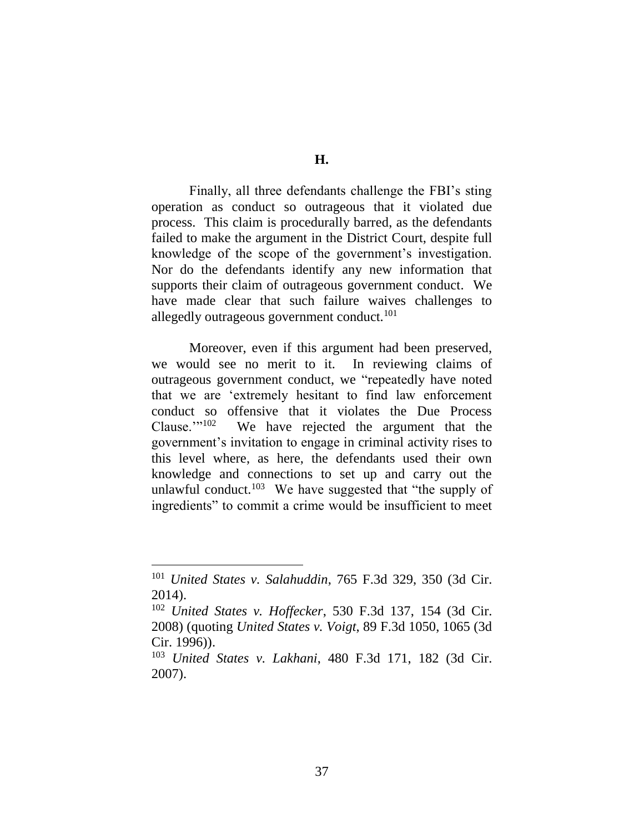Finally, all three defendants challenge the FBI's sting operation as conduct so outrageous that it violated due process. This claim is procedurally barred, as the defendants failed to make the argument in the District Court, despite full knowledge of the scope of the government's investigation. Nor do the defendants identify any new information that supports their claim of outrageous government conduct. We have made clear that such failure waives challenges to allegedly outrageous government conduct.<sup>101</sup>

Moreover, even if this argument had been preserved, we would see no merit to it. In reviewing claims of outrageous government conduct, we "repeatedly have noted that we are 'extremely hesitant to find law enforcement conduct so offensive that it violates the Due Process Clause. $\frac{102}{102}$  We have rejected the argument that the government's invitation to engage in criminal activity rises to this level where, as here, the defendants used their own knowledge and connections to set up and carry out the unlawful conduct.<sup>103</sup> We have suggested that "the supply of ingredients" to commit a crime would be insufficient to meet

<sup>101</sup> *United States v. Salahuddin*, 765 F.3d 329, 350 (3d Cir. 2014).

<sup>102</sup> *United States v. Hoffecker*, 530 F.3d 137, 154 (3d Cir. 2008) (quoting *United States v. Voigt*, 89 F.3d 1050, 1065 (3d Cir. 1996)).

<sup>103</sup> *United States v. Lakhani*, 480 F.3d 171, 182 (3d Cir. 2007).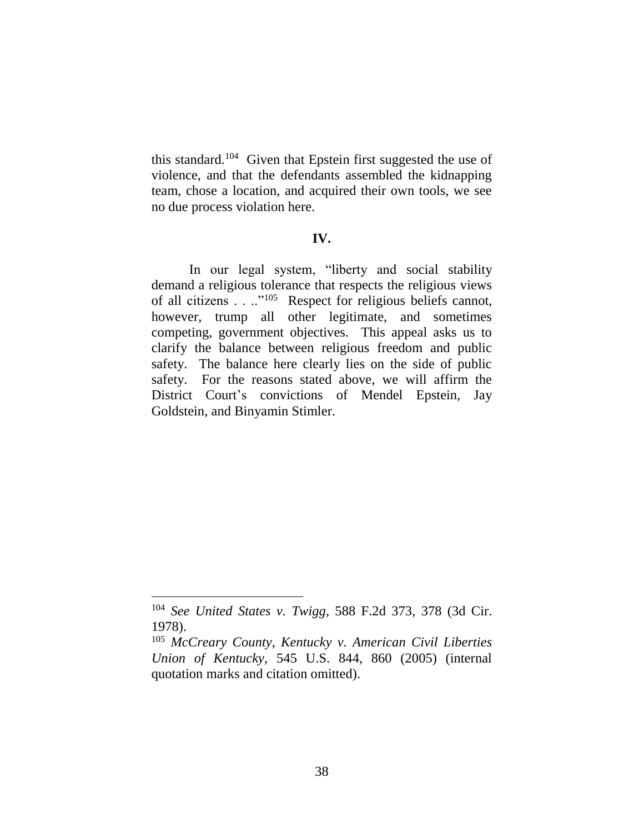this standard.<sup>104</sup> Given that Epstein first suggested the use of violence, and that the defendants assembled the kidnapping team, chose a location, and acquired their own tools, we see no due process violation here.

## **IV.**

In our legal system, "liberty and social stability demand a religious tolerance that respects the religious views of all citizens . . .."<sup>105</sup> Respect for religious beliefs cannot, however, trump all other legitimate, and sometimes competing, government objectives. This appeal asks us to clarify the balance between religious freedom and public safety. The balance here clearly lies on the side of public safety. For the reasons stated above, we will affirm the District Court's convictions of Mendel Epstein, Jay Goldstein, and Binyamin Stimler.

<sup>104</sup> *See United States v. Twigg*, 588 F.2d 373, 378 (3d Cir. 1978).

<sup>105</sup> *McCreary County, Kentucky v. American Civil Liberties Union of Kentucky*, 545 U.S. 844, 860 (2005) (internal quotation marks and citation omitted).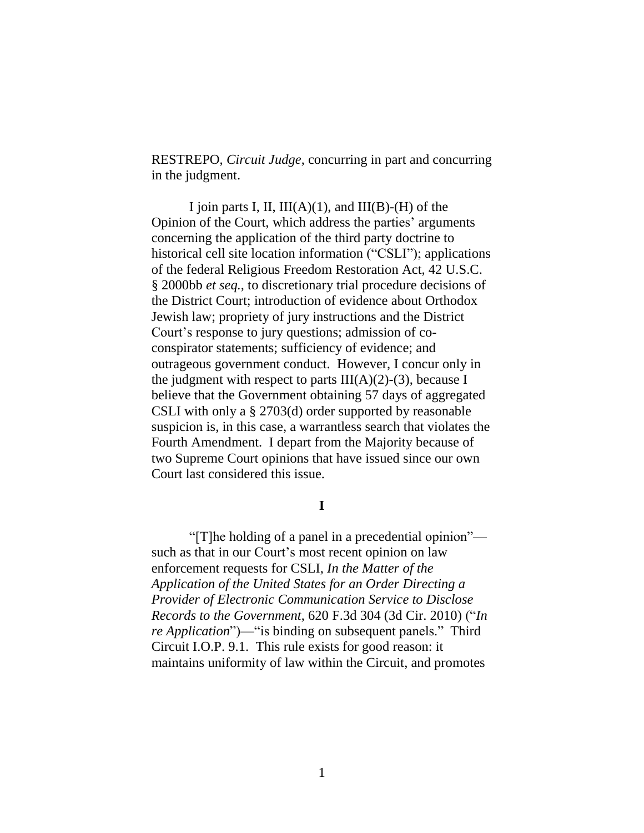RESTREPO, *Circuit Judge*, concurring in part and concurring in the judgment.

I join parts I, II,  $III(A)(1)$ , and  $III(B)-(H)$  of the Opinion of the Court, which address the parties' arguments concerning the application of the third party doctrine to historical cell site location information ("CSLI"); applications of the federal Religious Freedom Restoration Act, 42 U.S.C. § 2000bb *et seq.*, to discretionary trial procedure decisions of the District Court; introduction of evidence about Orthodox Jewish law; propriety of jury instructions and the District Court's response to jury questions; admission of coconspirator statements; sufficiency of evidence; and outrageous government conduct. However, I concur only in the judgment with respect to parts  $III(A)(2)-(3)$ , because I believe that the Government obtaining 57 days of aggregated CSLI with only a § 2703(d) order supported by reasonable suspicion is, in this case, a warrantless search that violates the Fourth Amendment. I depart from the Majority because of two Supreme Court opinions that have issued since our own Court last considered this issue.

**I**

"[T]he holding of a panel in a precedential opinion" such as that in our Court's most recent opinion on law enforcement requests for CSLI, *In the Matter of the Application of the United States for an Order Directing a Provider of Electronic Communication Service to Disclose Records to the Government*, 620 F.3d 304 (3d Cir. 2010) ("*In re Application*")—"is binding on subsequent panels." Third Circuit I.O.P. 9.1. This rule exists for good reason: it maintains uniformity of law within the Circuit, and promotes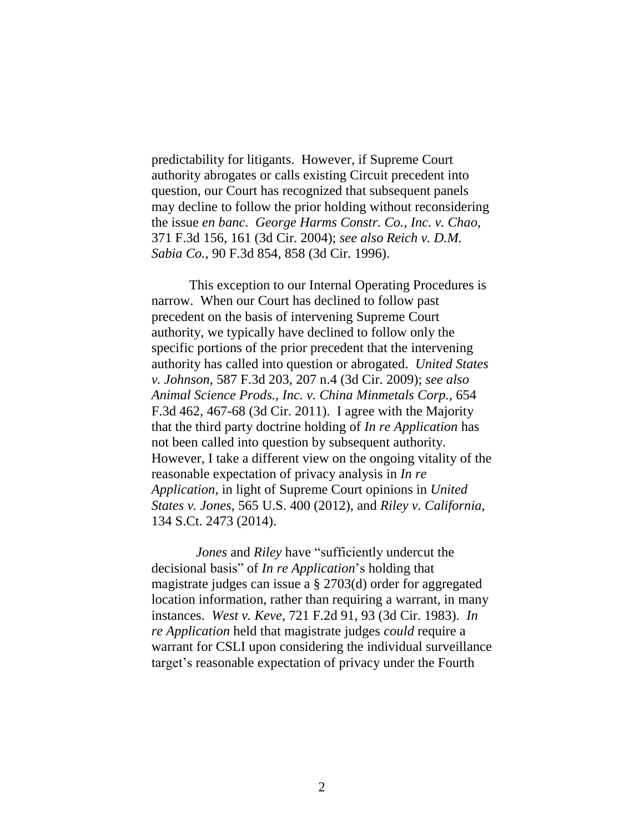predictability for litigants. However, if Supreme Court authority abrogates or calls existing Circuit precedent into question, our Court has recognized that subsequent panels may decline to follow the prior holding without reconsidering the issue *en banc*. *George Harms Constr. Co., Inc. v. Chao*, 371 F.3d 156, 161 (3d Cir. 2004); *see also Reich v. D.M. Sabia Co.*, 90 F.3d 854, 858 (3d Cir. 1996).

This exception to our Internal Operating Procedures is narrow. When our Court has declined to follow past precedent on the basis of intervening Supreme Court authority, we typically have declined to follow only the specific portions of the prior precedent that the intervening authority has called into question or abrogated. *United States v. Johnson*, 587 F.3d 203, 207 n.4 (3d Cir. 2009); *see also Animal Science Prods., Inc. v. China Minmetals Corp.*, 654 F.3d 462, 467-68 (3d Cir. 2011). I agree with the Majority that the third party doctrine holding of *In re Application* has not been called into question by subsequent authority. However, I take a different view on the ongoing vitality of the reasonable expectation of privacy analysis in *In re Application*, in light of Supreme Court opinions in *United States v. Jones*, 565 U.S. 400 (2012), and *Riley v. California*, 134 S.Ct. 2473 (2014).

 *Jones* and *Riley* have "sufficiently undercut the decisional basis" of *In re Application*'s holding that magistrate judges can issue a § 2703(d) order for aggregated location information, rather than requiring a warrant, in many instances. *West v. Keve*, 721 F.2d 91, 93 (3d Cir. 1983). *In re Application* held that magistrate judges *could* require a warrant for CSLI upon considering the individual surveillance target's reasonable expectation of privacy under the Fourth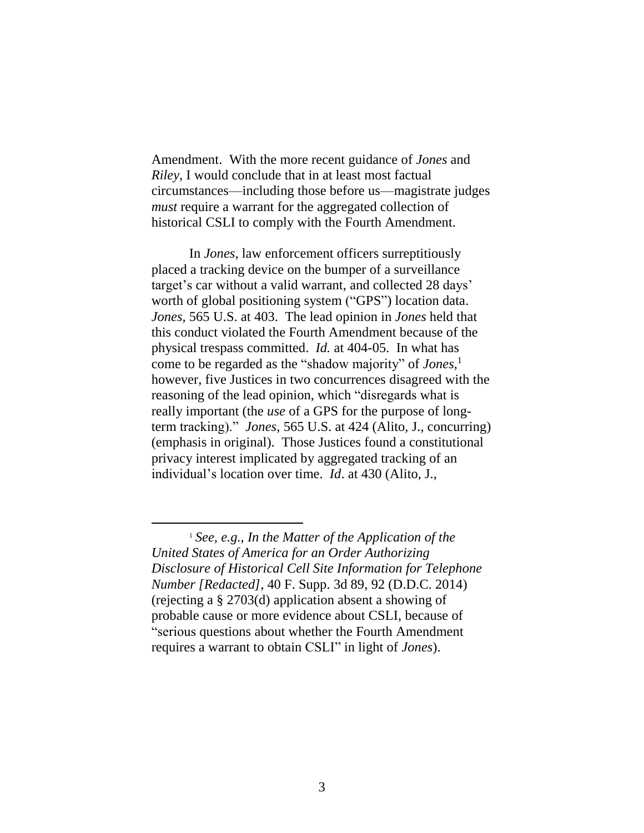Amendment. With the more recent guidance of *Jones* and *Riley*, I would conclude that in at least most factual circumstances—including those before us—magistrate judges *must* require a warrant for the aggregated collection of historical CSLI to comply with the Fourth Amendment.

In *Jones*, law enforcement officers surreptitiously placed a tracking device on the bumper of a surveillance target's car without a valid warrant, and collected 28 days' worth of global positioning system ("GPS") location data. *Jones*, 565 U.S. at 403. The lead opinion in *Jones* held that this conduct violated the Fourth Amendment because of the physical trespass committed. *Id.* at 404-05. In what has come to be regarded as the "shadow majority" of *Jones*, 1 however, five Justices in two concurrences disagreed with the reasoning of the lead opinion, which "disregards what is really important (the *use* of a GPS for the purpose of longterm tracking)." *Jones*, 565 U.S. at 424 (Alito, J., concurring) (emphasis in original). Those Justices found a constitutional privacy interest implicated by aggregated tracking of an individual's location over time. *Id*. at 430 (Alito, J.,

<sup>1</sup> *See, e.g.*, *In the Matter of the Application of the United States of America for an Order Authorizing Disclosure of Historical Cell Site Information for Telephone Number [Redacted]*, 40 F. Supp. 3d 89, 92 (D.D.C. 2014) (rejecting a § 2703(d) application absent a showing of probable cause or more evidence about CSLI, because of "serious questions about whether the Fourth Amendment requires a warrant to obtain CSLI" in light of *Jones*).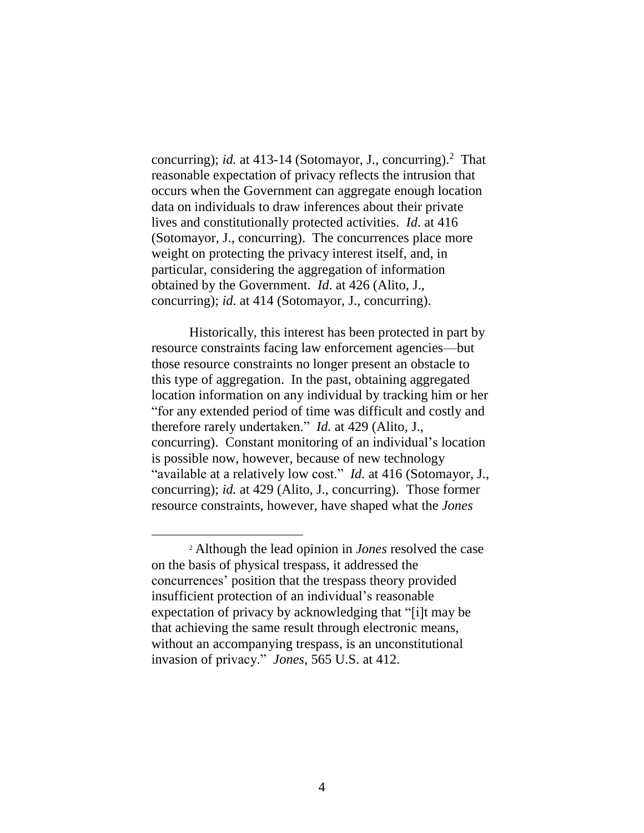concurring); *id.* at 413-14 (Sotomayor, J., concurring).<sup>2</sup> That reasonable expectation of privacy reflects the intrusion that occurs when the Government can aggregate enough location data on individuals to draw inferences about their private lives and constitutionally protected activities. *Id*. at 416 (Sotomayor, J., concurring). The concurrences place more weight on protecting the privacy interest itself, and, in particular, considering the aggregation of information obtained by the Government. *Id*. at 426 (Alito, J., concurring); *id*. at 414 (Sotomayor, J., concurring).

Historically, this interest has been protected in part by resource constraints facing law enforcement agencies—but those resource constraints no longer present an obstacle to this type of aggregation. In the past, obtaining aggregated location information on any individual by tracking him or her "for any extended period of time was difficult and costly and therefore rarely undertaken." *Id.* at 429 (Alito, J., concurring). Constant monitoring of an individual's location is possible now, however, because of new technology "available at a relatively low cost." *Id.* at 416 (Sotomayor, J., concurring); *id.* at 429 (Alito, J., concurring). Those former resource constraints, however, have shaped what the *Jones*

<sup>2</sup> Although the lead opinion in *Jones* resolved the case on the basis of physical trespass, it addressed the concurrences' position that the trespass theory provided insufficient protection of an individual's reasonable expectation of privacy by acknowledging that "[i]t may be that achieving the same result through electronic means, without an accompanying trespass, is an unconstitutional invasion of privacy." *Jones*, 565 U.S. at 412.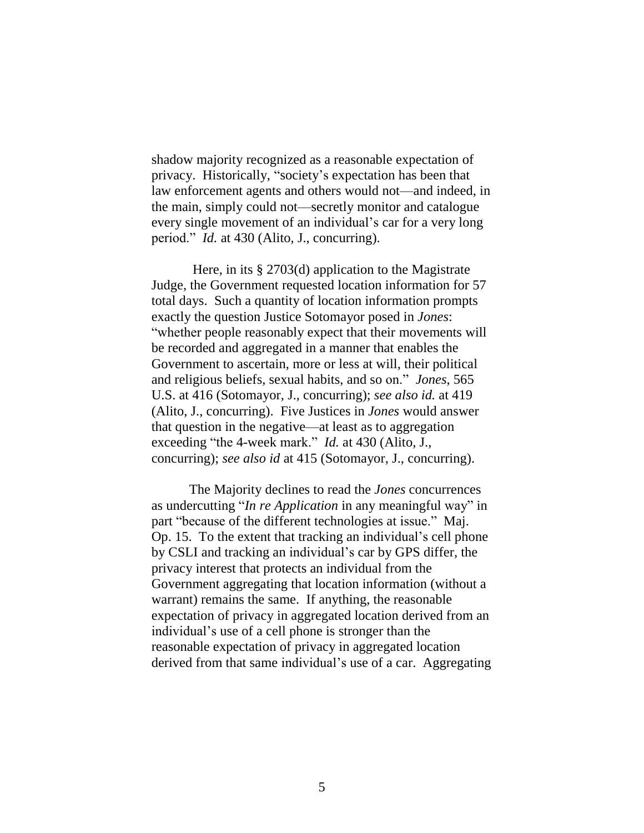shadow majority recognized as a reasonable expectation of privacy. Historically, "society's expectation has been that law enforcement agents and others would not—and indeed, in the main, simply could not—secretly monitor and catalogue every single movement of an individual's car for a very long period." *Id.* at 430 (Alito, J., concurring).

Here, in its § 2703(d) application to the Magistrate Judge, the Government requested location information for 57 total days. Such a quantity of location information prompts exactly the question Justice Sotomayor posed in *Jones*: "whether people reasonably expect that their movements will be recorded and aggregated in a manner that enables the Government to ascertain, more or less at will, their political and religious beliefs, sexual habits, and so on." *Jones*, 565 U.S. at 416 (Sotomayor, J., concurring); *see also id.* at 419 (Alito, J., concurring). Five Justices in *Jones* would answer that question in the negative—at least as to aggregation exceeding "the 4-week mark." *Id.* at 430 (Alito, J., concurring); *see also id* at 415 (Sotomayor, J., concurring).

The Majority declines to read the *Jones* concurrences as undercutting "*In re Application* in any meaningful way" in part "because of the different technologies at issue." Maj. Op. 15. To the extent that tracking an individual's cell phone by CSLI and tracking an individual's car by GPS differ, the privacy interest that protects an individual from the Government aggregating that location information (without a warrant) remains the same. If anything, the reasonable expectation of privacy in aggregated location derived from an individual's use of a cell phone is stronger than the reasonable expectation of privacy in aggregated location derived from that same individual's use of a car. Aggregating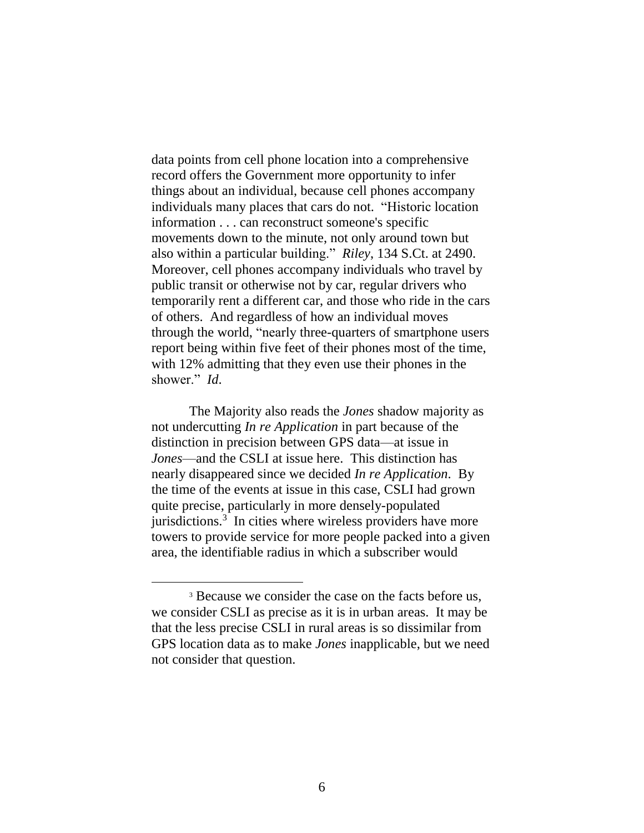data points from cell phone location into a comprehensive record offers the Government more opportunity to infer things about an individual, because cell phones accompany individuals many places that cars do not. "Historic location information . . . can reconstruct someone's specific movements down to the minute, not only around town but also within a particular building." *Riley*, 134 S.Ct. at 2490. Moreover, cell phones accompany individuals who travel by public transit or otherwise not by car, regular drivers who temporarily rent a different car, and those who ride in the cars of others. And regardless of how an individual moves through the world, "nearly three-quarters of smartphone users report being within five feet of their phones most of the time, with 12% admitting that they even use their phones in the shower." *Id*.

The Majority also reads the *Jones* shadow majority as not undercutting *In re Application* in part because of the distinction in precision between GPS data—at issue in *Jones*—and the CSLI at issue here. This distinction has nearly disappeared since we decided *In re Application*. By the time of the events at issue in this case, CSLI had grown quite precise, particularly in more densely-populated jurisdictions.<sup>3</sup> In cities where wireless providers have more towers to provide service for more people packed into a given area, the identifiable radius in which a subscriber would

<sup>&</sup>lt;sup>3</sup> Because we consider the case on the facts before us, we consider CSLI as precise as it is in urban areas. It may be that the less precise CSLI in rural areas is so dissimilar from GPS location data as to make *Jones* inapplicable, but we need not consider that question.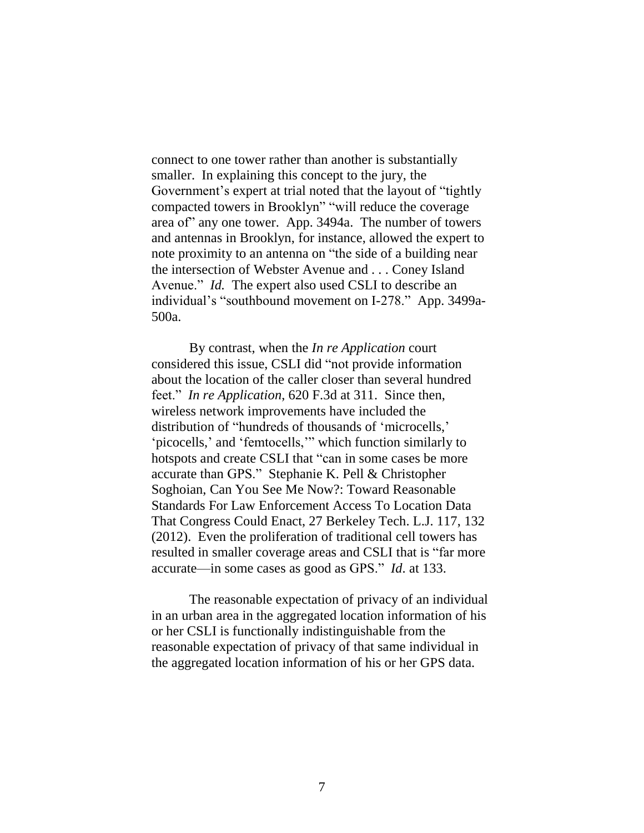connect to one tower rather than another is substantially smaller. In explaining this concept to the jury, the Government's expert at trial noted that the layout of "tightly compacted towers in Brooklyn" "will reduce the coverage area of" any one tower. App. 3494a. The number of towers and antennas in Brooklyn, for instance, allowed the expert to note proximity to an antenna on "the side of a building near the intersection of Webster Avenue and . . . Coney Island Avenue." *Id.* The expert also used CSLI to describe an individual's "southbound movement on I-278." App. 3499a-500a.

By contrast, when the *In re Application* court considered this issue, CSLI did "not provide information about the location of the caller closer than several hundred feet." *In re Application*, 620 F.3d at 311. Since then, wireless network improvements have included the distribution of "hundreds of thousands of 'microcells,' 'picocells,' and 'femtocells,'" which function similarly to hotspots and create CSLI that "can in some cases be more accurate than GPS." Stephanie K. Pell & Christopher Soghoian, Can You See Me Now?: Toward Reasonable Standards For Law Enforcement Access To Location Data That Congress Could Enact, 27 Berkeley Tech. L.J. 117, 132 (2012). Even the proliferation of traditional cell towers has resulted in smaller coverage areas and CSLI that is "far more accurate—in some cases as good as GPS." *Id*. at 133.

The reasonable expectation of privacy of an individual in an urban area in the aggregated location information of his or her CSLI is functionally indistinguishable from the reasonable expectation of privacy of that same individual in the aggregated location information of his or her GPS data.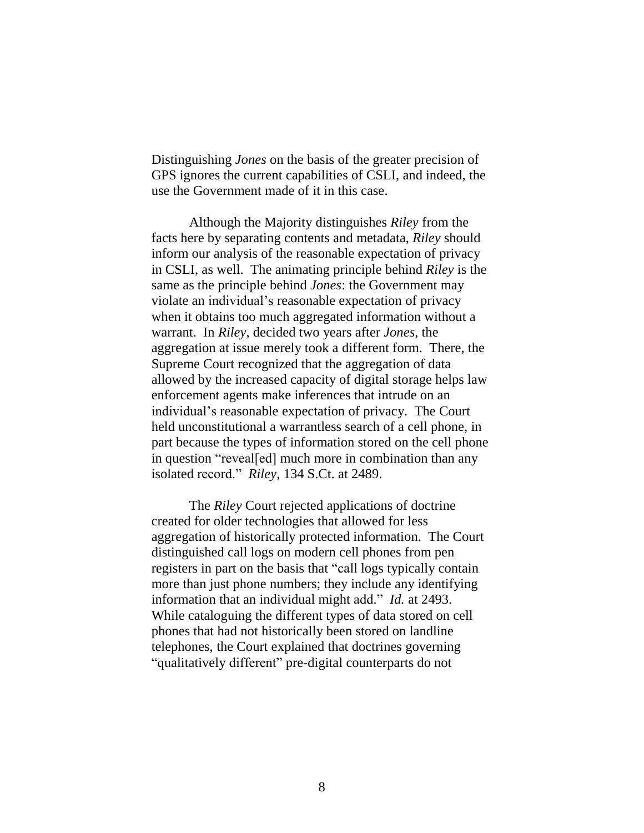Distinguishing *Jones* on the basis of the greater precision of GPS ignores the current capabilities of CSLI, and indeed, the use the Government made of it in this case.

Although the Majority distinguishes *Riley* from the facts here by separating contents and metadata, *Riley* should inform our analysis of the reasonable expectation of privacy in CSLI, as well. The animating principle behind *Riley* is the same as the principle behind *Jones*: the Government may violate an individual's reasonable expectation of privacy when it obtains too much aggregated information without a warrant. In *Riley*, decided two years after *Jones*, the aggregation at issue merely took a different form. There, the Supreme Court recognized that the aggregation of data allowed by the increased capacity of digital storage helps law enforcement agents make inferences that intrude on an individual's reasonable expectation of privacy. The Court held unconstitutional a warrantless search of a cell phone, in part because the types of information stored on the cell phone in question "reveal[ed] much more in combination than any isolated record." *Riley*, 134 S.Ct. at 2489.

The *Riley* Court rejected applications of doctrine created for older technologies that allowed for less aggregation of historically protected information. The Court distinguished call logs on modern cell phones from pen registers in part on the basis that "call logs typically contain more than just phone numbers; they include any identifying information that an individual might add." *Id.* at 2493. While cataloguing the different types of data stored on cell phones that had not historically been stored on landline telephones, the Court explained that doctrines governing "qualitatively different" pre-digital counterparts do not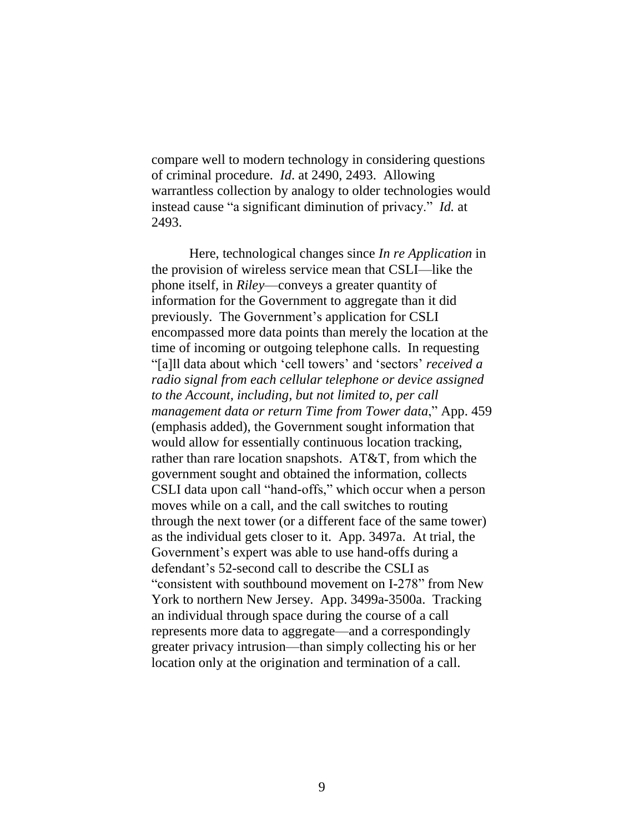compare well to modern technology in considering questions of criminal procedure. *Id*. at 2490, 2493. Allowing warrantless collection by analogy to older technologies would instead cause "a significant diminution of privacy." *Id.* at 2493.

Here, technological changes since *In re Application* in the provision of wireless service mean that CSLI—like the phone itself, in *Riley*—conveys a greater quantity of information for the Government to aggregate than it did previously. The Government's application for CSLI encompassed more data points than merely the location at the time of incoming or outgoing telephone calls. In requesting "[a]ll data about which 'cell towers' and 'sectors' *received a radio signal from each cellular telephone or device assigned to the Account, including, but not limited to, per call management data or return Time from Tower data*," App. 459 (emphasis added), the Government sought information that would allow for essentially continuous location tracking, rather than rare location snapshots. AT&T, from which the government sought and obtained the information, collects CSLI data upon call "hand-offs," which occur when a person moves while on a call, and the call switches to routing through the next tower (or a different face of the same tower) as the individual gets closer to it. App. 3497a. At trial, the Government's expert was able to use hand-offs during a defendant's 52-second call to describe the CSLI as "consistent with southbound movement on I-278" from New York to northern New Jersey. App. 3499a-3500a. Tracking an individual through space during the course of a call represents more data to aggregate—and a correspondingly greater privacy intrusion—than simply collecting his or her location only at the origination and termination of a call.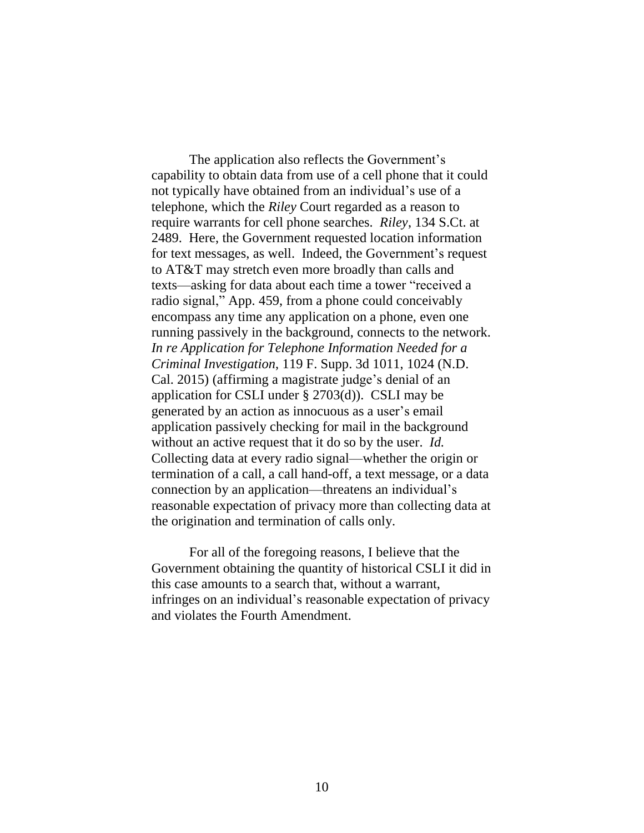The application also reflects the Government's capability to obtain data from use of a cell phone that it could not typically have obtained from an individual's use of a telephone, which the *Riley* Court regarded as a reason to require warrants for cell phone searches. *Riley*, 134 S.Ct. at 2489. Here, the Government requested location information for text messages, as well. Indeed, the Government's request to AT&T may stretch even more broadly than calls and texts—asking for data about each time a tower "received a radio signal," App. 459, from a phone could conceivably encompass any time any application on a phone, even one running passively in the background, connects to the network. *In re Application for Telephone Information Needed for a Criminal Investigation*, 119 F. Supp. 3d 1011, 1024 (N.D. Cal. 2015) (affirming a magistrate judge's denial of an application for CSLI under § 2703(d)). CSLI may be generated by an action as innocuous as a user's email application passively checking for mail in the background without an active request that it do so by the user. *Id.* Collecting data at every radio signal—whether the origin or termination of a call, a call hand-off, a text message, or a data connection by an application—threatens an individual's reasonable expectation of privacy more than collecting data at the origination and termination of calls only.

For all of the foregoing reasons, I believe that the Government obtaining the quantity of historical CSLI it did in this case amounts to a search that, without a warrant, infringes on an individual's reasonable expectation of privacy and violates the Fourth Amendment.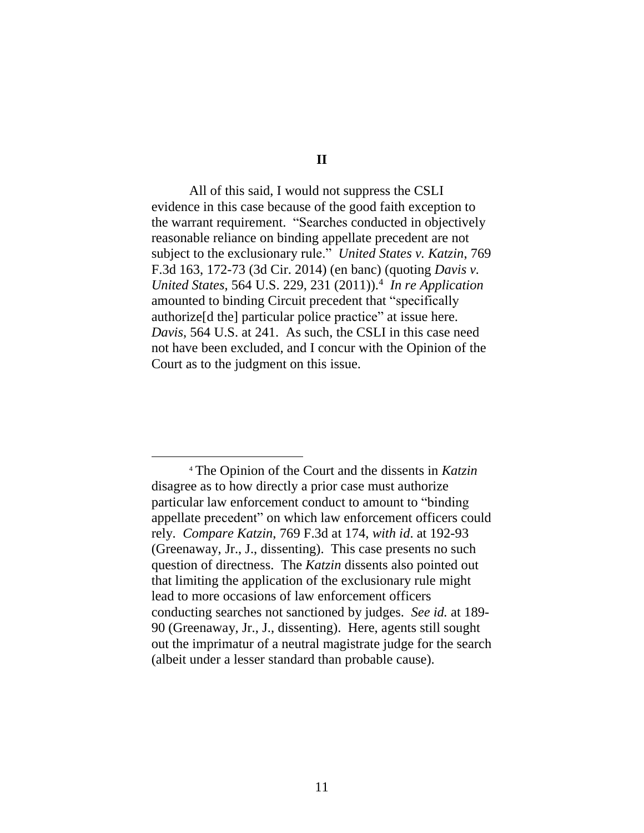All of this said, I would not suppress the CSLI evidence in this case because of the good faith exception to the warrant requirement. "Searches conducted in objectively reasonable reliance on binding appellate precedent are not subject to the exclusionary rule." *United States v. Katzin*, 769 F.3d 163, 172-73 (3d Cir. 2014) (en banc) (quoting *Davis v. United States*, 564 U.S. 229, 231 (2011)).<sup>4</sup> *In re Application* amounted to binding Circuit precedent that "specifically authorize[d the] particular police practice" at issue here. *Davis*, 564 U.S. at 241. As such, the CSLI in this case need not have been excluded, and I concur with the Opinion of the Court as to the judgment on this issue.

<sup>4</sup> The Opinion of the Court and the dissents in *Katzin* disagree as to how directly a prior case must authorize particular law enforcement conduct to amount to "binding appellate precedent" on which law enforcement officers could rely. *Compare Katzin*, 769 F.3d at 174, *with id*. at 192-93 (Greenaway, Jr., J., dissenting). This case presents no such question of directness. The *Katzin* dissents also pointed out that limiting the application of the exclusionary rule might lead to more occasions of law enforcement officers conducting searches not sanctioned by judges. *See id.* at 189- 90 (Greenaway, Jr., J., dissenting). Here, agents still sought out the imprimatur of a neutral magistrate judge for the search (albeit under a lesser standard than probable cause).